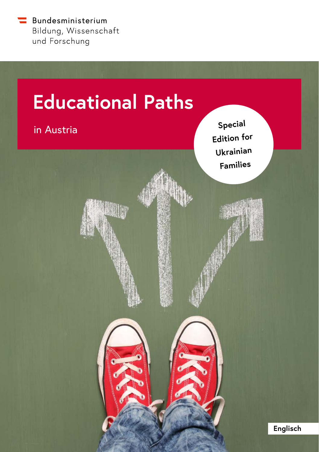

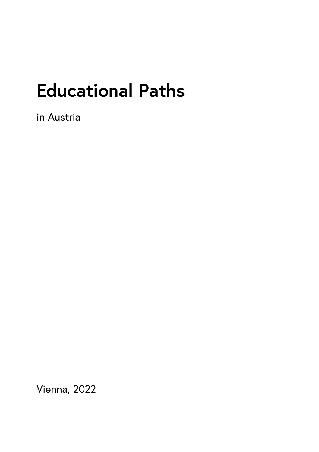# **Educational Paths**

in Austria

Vienna, 2022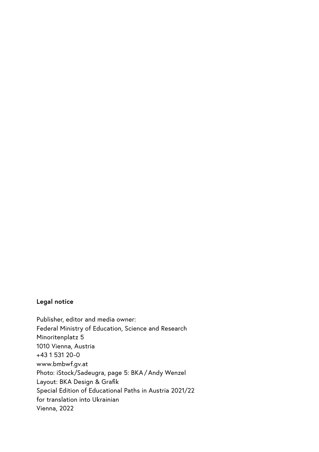#### **Legal notice**

Publisher, editor and media owner: Federal Ministry of Education, Science and Research Minoritenplatz<sub>5</sub> 1010 Vienna, Austria +43 1 531 20-0 www.bmbwf.gv.at Photo: iStock/Sadeugra, page 5: BKA/Andy Wenzel Layout: BKA Design & Grafik Special Edition of Educational Paths in Austria 2021/22 for translation into Ukrainian Vienna, 2022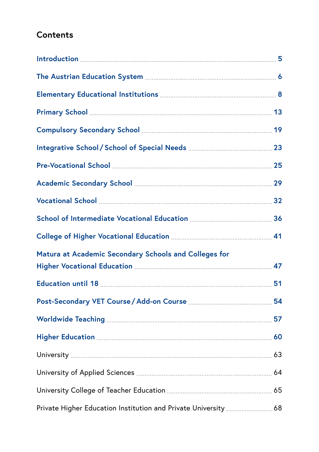#### **Contents**

| Matura at Academic Secondary Schools and Colleges for           |  |
|-----------------------------------------------------------------|--|
|                                                                 |  |
|                                                                 |  |
|                                                                 |  |
|                                                                 |  |
|                                                                 |  |
|                                                                 |  |
|                                                                 |  |
| Private Higher Education Institution and Private University  68 |  |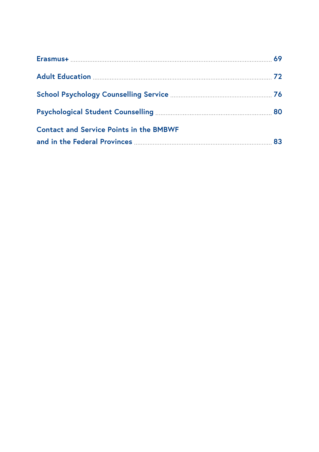| <b>Contact and Service Points in the BMBWF</b> |  |
|------------------------------------------------|--|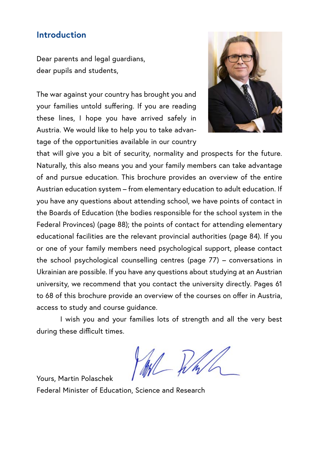#### <span id="page-6-0"></span>**Introduction**

Dear parents and legal guardians, dear pupils and students,

The war against your country has brought you and your families untold suffering. If you are reading these lines, I hope you have arrived safely in Austria. We would like to help you to take advantage of the opportunities available in our country



that will give you a bit of security, normality and prospects for the future. Naturally, this also means you and your family members can take advantage of and pursue education. This brochure provides an overview of the entire Austrian education system – from elementary education to adult education. If you have any questions about attending school, we have points of contact in the Boards of Education (the bodies responsible for the school system in the Federal Provinces) (page 88); the points of contact for attending elementary educational facilities are the relevant provincial authorities (page 84). If you or one of your family members need psychological support, please contact the school psychological counselling centres (page 77) – conversations in Ukrainian are possible. If you have any questions about studying at an Austrian university, we recommend that you contact the university directly. Pages 61 to 68 of this brochure provide an overview of the courses on offer in Austria, access to study and course guidance.

I wish you and your families lots of strength and all the very best during these difficult times.

Yours, Martin Polaschek

Federal Minister of Education, Science and Research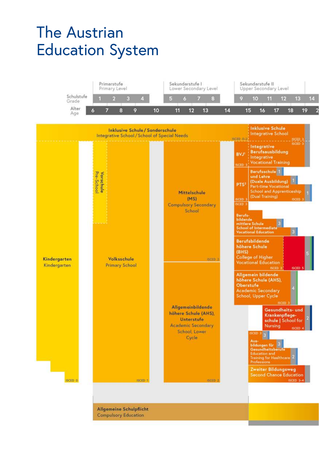# <span id="page-7-0"></span>The Austrian Education System



Allgemeine Schulpflicht **Compulsory Education**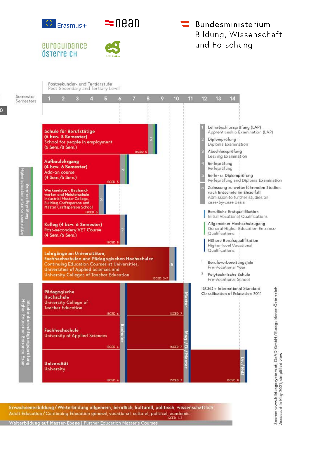



#### euroguipance ÖSTELTEICH



#### Bundesministerium Bildung, Wissenschaft und Forschung



Erwachsenenbildung / Weiterbildung allgemein, beruflich, kulturell, politisch, wissenschaftlich Adult Education / Continuing Education general, vocational, cultural, political, academic

Weiterbildung auf Master-Ebene | Further Education M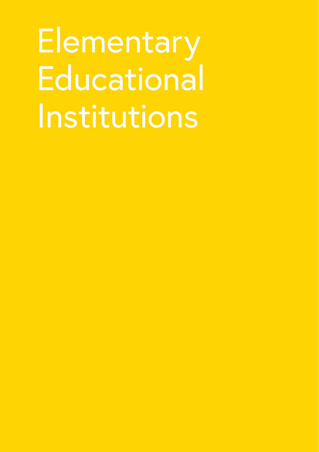<span id="page-9-0"></span>**Elementary Educational** Institutions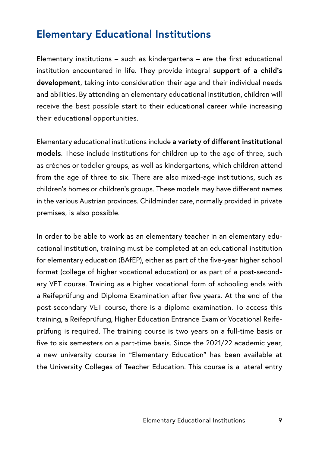#### **Elementary Educational Institutions**

Elementary institutions – such as kindergartens – are the first educational institution encountered in life. They provide integral **support of a child's development**, taking into consideration their age and their individual needs and abilities. By attending an elementary educational institution, children will receive the best possible start to their educational career while increasing their educational opportunities.

Elementary educational institutions include **a variety of different institutional models**. These include institutions for children up to the age of three, such as crèches or toddler groups, as well as kindergartens, which children attend from the age of three to six. There are also mixed-age institutions, such as children's homes or children's groups. These models may have different names in the various Austrian provinces. Childminder care, normally provided in private premises, is also possible.

In order to be able to work as an elementary teacher in an elementary educational institution, training must be completed at an educational institution for elementary education (BAfEP), either as part of the five-year higher school format (college of higher vocational education) or as part of a post-secondary VET course. Training as a higher vocational form of schooling ends with a Reifeprüfung and Diploma Examination after five years. At the end of the post-secondary VET course, there is a diploma examination. To access this training, a Reifeprüfung, Higher Education Entrance Exam or Vocational Reifeprüfung is required. The training course is two years on a full-time basis or five to six semesters on a part-time basis. Since the 2021/22 academic year, a new university course in "Elementary Education" has been available at the University Colleges of Teacher Education. This course is a lateral entry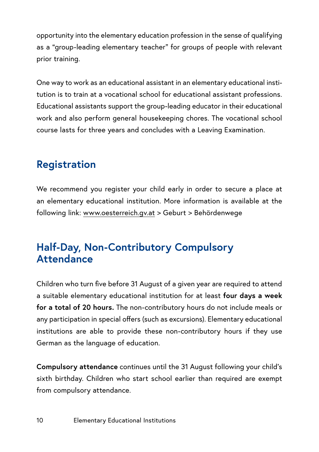opportunity into the elementary education profession in the sense of qualifying as a "group-leading elementary teacher" for groups of people with relevant prior training.

One way to work as an educational assistant in an elementary educational institution is to train at a vocational school for educational assistant professions. Educational assistants support the group-leading educator in their educational work and also perform general housekeeping chores. The vocational school course lasts for three years and concludes with a Leaving Examination.

### **Registration**

We recommend you register your child early in order to secure a place at an elementary educational institution. More information is available at the following link: [www.oesterreich.gv.at](http://www.oesterreich.gv.at) > Geburt > Behördenwege

#### **Half-Day, Non-Contributory Compulsory Attendance**

Children who turn five before 31 August of a given year are required to attend a suitable elementary educational institution for at least **four days a week for a total of 20 hours.** The non-contributory hours do not include meals or any participation in special offers (such as excursions). Elementary educational institutions are able to provide these non-contributory hours if they use German as the language of education.

**Compulsory attendance** continues until the 31 August following your child's sixth birthday. Children who start school earlier than required are exempt from compulsory attendance.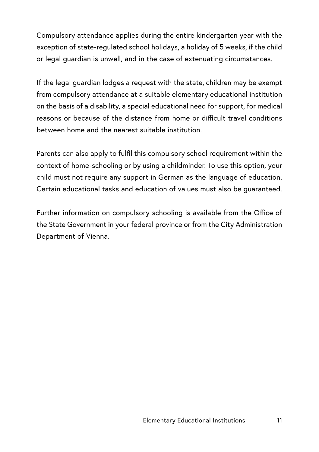Compulsory attendance applies during the entire kindergarten year with the exception of state-regulated school holidays, a holiday of 5 weeks, if the child or legal guardian is unwell, and in the case of extenuating circumstances.

If the legal guardian lodges a request with the state, children may be exempt from compulsory attendance at a suitable elementary educational institution on the basis of a disability, a special educational need for support, for medical reasons or because of the distance from home or difficult travel conditions between home and the nearest suitable institution.

Parents can also apply to fulfil this compulsory school requirement within the context of home-schooling or by using a childminder. To use this option, your child must not require any support in German as the language of education. Certain educational tasks and education of values must also be guaranteed.

Further information on compulsory schooling is available from the Office of the State Government in your federal province or from the City Administration Department of Vienna.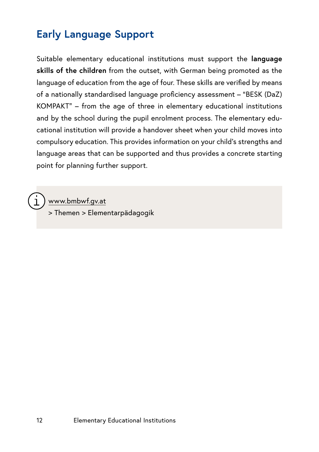### **Early Language Support**

Suitable elementary educational institutions must support the **language skills of the children** from the outset, with German being promoted as the language of education from the age of four. These skills are verified by means of a nationally standardised language proficiency assessment – "BESK (DaZ) KOMPAKT" – from the age of three in elementary educational institutions and by the school during the pupil enrolment process. The elementary educational institution will provide a handover sheet when your child moves into compulsory education. This provides information on your child's strengths and language areas that can be supported and thus provides a concrete starting point for planning further support.

www.bmbwf.gv.at

> Themen > Elementarpädagogik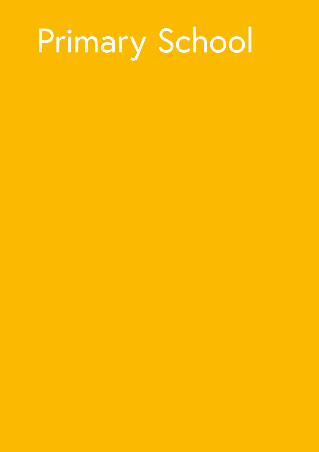# <span id="page-14-0"></span>**Primary School**

- 
- 
- -
- 
- 
- -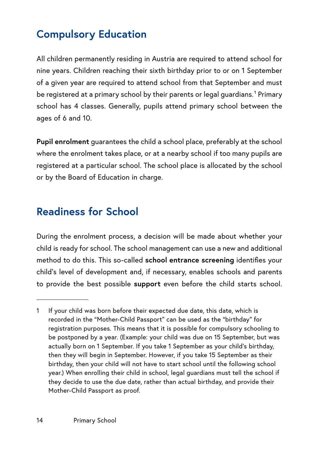# **Compulsory Education**

All children permanently residing in Austria are required to attend school for nine years. Children reaching their sixth birthday prior to or on 1 September of a given year are required to attend school from that September and must be registered at a primary school by their parents or legal guardians.<sup>1</sup> Primary school has 4 classes. Generally, pupils attend primary school between the ages of 6 and 10.

**Pupil enrolment** guarantees the child a school place, preferably at the school where the enrolment takes place, or at a nearby school if too many pupils are registered at a particular school. The school place is allocated by the school or by the Board of Education in charge.

#### **Readiness for School**

During the enrolment process, a decision will be made about whether your child is ready for school. The school management can use a new and additional method to do this. This so-called **school entrance screening** identifies your child's level of development and, if necessary, enables schools and parents to provide the best possible **support** even before the child starts school.

<sup>1</sup> If your child was born before their expected due date, this date, which is recorded in the "Mother-Child Passport" can be used as the "birthday" for registration purposes. This means that it is possible for compulsory schooling to be postponed by a year. (Example: your child was due on 15 September, but was actually born on 1 September. If you take 1 September as your child's birthday, then they will begin in September. However, if you take 15 September as their birthday, then your child will not have to start school until the following school year.) When enrolling their child in school, legal guardians must tell the school if they decide to use the due date, rather than actual birthday, and provide their Mother-Child Passport as proof.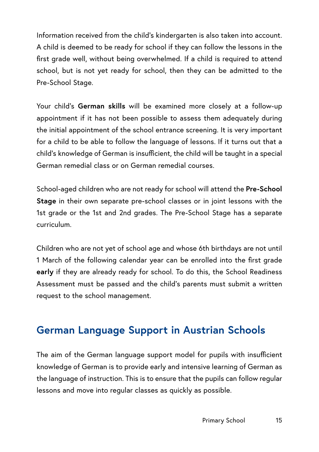Information received from the child's kindergarten is also taken into account. A child is deemed to be ready for school if they can follow the lessons in the first grade well, without being overwhelmed. If a child is required to attend school, but is not yet ready for school, then they can be admitted to the Pre-School Stage.

Your child's **German skills** will be examined more closely at a follow-up appointment if it has not been possible to assess them adequately during the initial appointment of the school entrance screening. It is very important for a child to be able to follow the language of lessons. If it turns out that a child's knowledge of German is insufficient, the child will be taught in a special German remedial class or on German remedial courses.

School-aged children who are not ready for school will attend the **Pre-School Stage** in their own separate pre-school classes or in joint lessons with the 1st grade or the 1st and 2nd grades. The Pre-School Stage has a separate curriculum.

Children who are not yet of school age and whose 6th birthdays are not until 1 March of the following calendar year can be enrolled into the first grade **early** if they are already ready for school. To do this, the School Readiness Assessment must be passed and the child's parents must submit a written request to the school management.

### **German Language Support in Austrian Schools**

The aim of the German language support model for pupils with insufficient knowledge of German is to provide early and intensive learning of German as the language of instruction. This is to ensure that the pupils can follow regular lessons and move into regular classes as quickly as possible.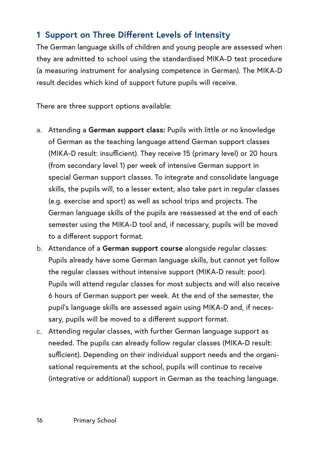#### **1 Support on Three Different Levels of Intensity**

The German language skills of children and young people are assessed when they are admitted to school using the standardised MIKA-D test procedure (a measuring instrument for analysing competence in German). The MIKA-D result decides which kind of support future pupils will receive.

There are three support options available:

- a. Attending a **German support class:** Pupils with little or no knowledge of German as the teaching language attend German support classes (MIKA-D result: insufficient). They receive 15 (primary level) or 20 hours (from secondary level 1) per week of intensive German support in special German support classes. To integrate and consolidate language skills, the pupils will, to a lesser extent, also take part in regular classes (e.g. exercise and sport) as well as school trips and projects. The German language skills of the pupils are reassessed at the end of each semester using the MIKA-D tool and, if necessary, pupils will be moved to a different support format.
- b. Attendance of a **German support course** alongside regular classes: Pupils already have some German language skills, but cannot yet follow the regular classes without intensive support (MIKA-D result: poor). Pupils will attend regular classes for most subjects and will also receive 6 hours of German support per week. At the end of the semester, the pupil's language skills are assessed again using MIKA-D and, if necessary, pupils will be moved to a different support format.
- c. Attending regular classes, with further German language support as needed. The pupils can already follow regular classes (MIKA-D result: sufficient). Depending on their individual support needs and the organisational requirements at the school, pupils will continue to receive (integrative or additional) support in German as the teaching language.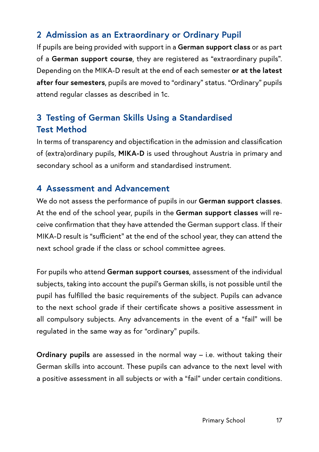#### **2 Admission as an Extraordinary or Ordinary Pupil**

If pupils are being provided with support in a **German support class** or as part of a **German support course**, they are registered as "extraordinary pupils". Depending on the MIKA-D result at the end of each semester **or at the latest after four semesters**, pupils are moved to "ordinary" status. "Ordinary" pupils attend regular classes as described in 1c.

#### **3 Testing of German Skills Using a Standardised Test Method**

In terms of transparency and objectification in the admission and classification of (extra)ordinary pupils, **MIKA-D** is used throughout Austria in primary and secondary school as a uniform and standardised instrument.

#### **4 Assessment and Advancement**

We do not assess the performance of pupils in our **German support classes**. At the end of the school year, pupils in the **German support classes** will receive confirmation that they have attended the German support class. If their MIKA-D result is "sufficient" at the end of the school year, they can attend the next school grade if the class or school committee agrees.

For pupils who attend **German support courses**, assessment of the individual subjects, taking into account the pupil's German skills, is not possible until the pupil has fulfilled the basic requirements of the subject. Pupils can advance to the next school grade if their certificate shows a positive assessment in all compulsory subjects. Any advancements in the event of a "fail" will be regulated in the same way as for "ordinary" pupils.

**Ordinary pupils** are assessed in the normal way – i.e. without taking their German skills into account. These pupils can advance to the next level with a positive assessment in all subjects or with a "fail" under certain conditions.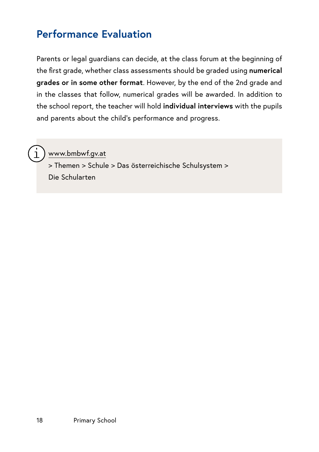#### **Performance Evaluation**

Parents or legal guardians can decide, at the class forum at the beginning of the first grade, whether class assessments should be graded using **numerical grades or in some other format**. However, by the end of the 2nd grade and in the classes that follow, numerical grades will be awarded. In addition to the school report, the teacher will hold **individual interviews** with the pupils and parents about the child's performance and progress.



www.bmbwf.gv.at

> Themen > Schule > Das österreichische Schulsystem > Die Schularten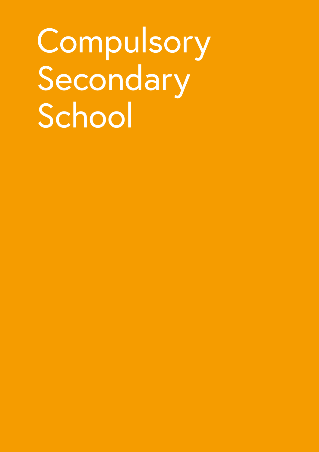# <span id="page-20-0"></span>Compulsory Secondary School

- 
- 
- 
- -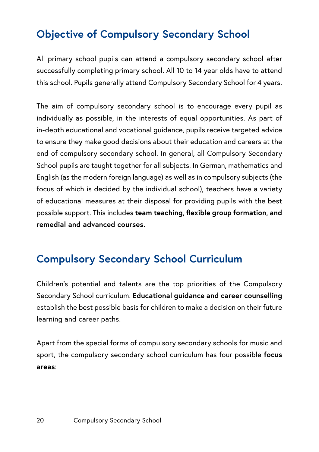# **Objective of Compulsory Secondary School**

All primary school pupils can attend a compulsory secondary school after successfully completing primary school. All 10 to 14 year olds have to attend this school. Pupils generally attend Compulsory Secondary School for 4 years.

The aim of compulsory secondary school is to encourage every pupil as individually as possible, in the interests of equal opportunities. As part of in-depth educational and vocational guidance, pupils receive targeted advice to ensure they make good decisions about their education and careers at the end of compulsory secondary school. In general, all Compulsory Secondary School pupils are taught together for all subjects. In German, mathematics and English (as the modern foreign language) as well as in compulsory subjects (the focus of which is decided by the individual school), teachers have a variety of educational measures at their disposal for providing pupils with the best possible support. This includes **team teaching, flexible group formation, and remedial and advanced courses.**

### **Compulsory Secondary School Curriculum**

Children's potential and talents are the top priorities of the Compulsory Secondary School curriculum. **Educational guidance and career counselling** establish the best possible basis for children to make a decision on their future learning and career paths.

Apart from the special forms of compulsory secondary schools for music and sport, the compulsory secondary school curriculum has four possible **focus areas**: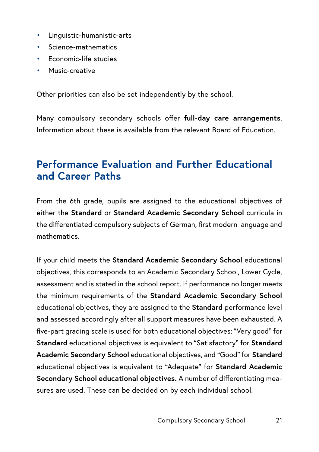- Linguistic-humanistic-arts
- Science-mathematics
- Economic-life studies
- Music-creative

Other priorities can also be set independently by the school.

Many compulsory secondary schools offer **full-day care arrangements**. Information about these is available from the relevant Board of Education.

#### **Performance Evaluation and Further Educational and Career Paths**

From the 6th grade, pupils are assigned to the educational objectives of either the **Standard** or **Standard Academic Secondary School** curricula in the differentiated compulsory subjects of German, first modern language and mathematics.

If your child meets the **Standard Academic Secondary School** educational objectives, this corresponds to an Academic Secondary School, Lower Cycle, assessment and is stated in the school report. If performance no longer meets the minimum requirements of the **Standard Academic Secondary School** educational objectives, they are assigned to the **Standard** performance level and assessed accordingly after all support measures have been exhausted. A five-part grading scale is used for both educational objectives; "Very good" for **Standard** educational objectives is equivalent to "Satisfactory" for **Standard Academic Secondary School** educational objectives, and "Good" for **Standard** educational objectives is equivalent to "Adequate" for **Standard Academic Secondary School educational objectives.** A number of differentiating measures are used. These can be decided on by each individual school.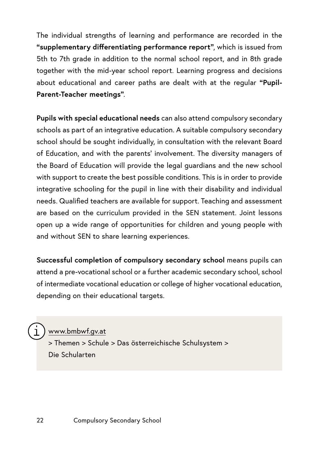The individual strengths of learning and performance are recorded in the **"supplementary differentiating performance report"**, which is issued from 5th to 7th grade in addition to the normal school report, and in 8th grade together with the mid-year school report. Learning progress and decisions about educational and career paths are dealt with at the regular **"Pupil-Parent-Teacher meetings"**.

**Pupils with special educational needs** can also attend compulsory secondary schools as part of an integrative education. A suitable compulsory secondary school should be sought individually, in consultation with the relevant Board of Education, and with the parents' involvement. The diversity managers of the Board of Education will provide the legal guardians and the new school with support to create the best possible conditions. This is in order to provide integrative schooling for the pupil in line with their disability and individual needs. Qualified teachers are available for support. Teaching and assessment are based on the curriculum provided in the SEN statement. Joint lessons open up a wide range of opportunities for children and young people with and without SEN to share learning experiences.

**Successful completion of compulsory secondary school** means pupils can attend a pre-vocational school or a further academic secondary school, school of intermediate vocational education or college of higher vocational education, depending on their educational targets.

[www.bmbwf.gv.at](http://www.bmbwf.gv.at)

> Themen > Schule > Das österreichische Schulsystem > Die Schularten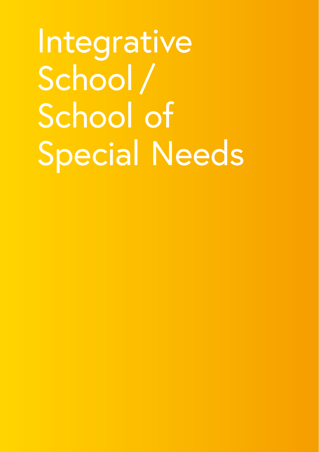<span id="page-24-0"></span>Integrative School / School of Special Needs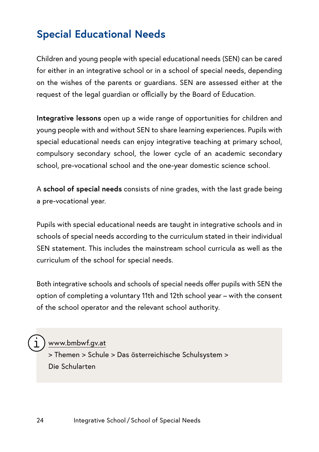#### **Special Educational Needs**

Children and young people with special educational needs (SEN) can be cared for either in an integrative school or in a school of special needs, depending on the wishes of the parents or guardians. SEN are assessed either at the request of the legal guardian or officially by the Board of Education.

**Integrative lessons** open up a wide range of opportunities for children and young people with and without SEN to share learning experiences. Pupils with special educational needs can enjoy integrative teaching at primary school, compulsory secondary school, the lower cycle of an academic secondary school, pre-vocational school and the one-year domestic science school.

A **school of special needs** consists of nine grades, with the last grade being a pre-vocational year.

Pupils with special educational needs are taught in integrative schools and in schools of special needs according to the curriculum stated in their individual SEN statement. This includes the mainstream school curricula as well as the curriculum of the school for special needs.

Both integrative schools and schools of special needs offer pupils with SEN the option of completing a voluntary 11th and 12th school year – with the consent of the school operator and the relevant school authority.

#### [www.bmbwf.gv.at](http://www.bmbwf.gv.at)

> Themen > Schule > Das österreichische Schulsystem > Die Schularten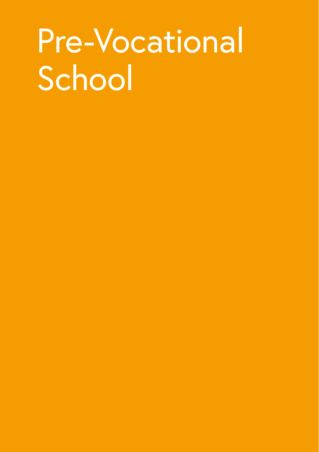# <span id="page-26-0"></span>Pre-Vocational School

- 
- 
- 
- 
- 
-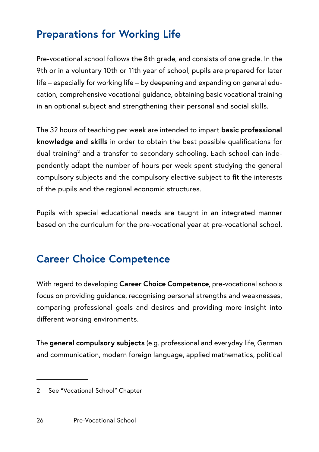# **Preparations for Working Life**

Pre-vocational school follows the 8th grade, and consists of one grade. In the 9th or in a voluntary 10th or 11th year of school, pupils are prepared for later life – especially for working life – by deepening and expanding on general education, comprehensive vocational guidance, obtaining basic vocational training in an optional subject and strengthening their personal and social skills.

The 32 hours of teaching per week are intended to impart **basic professional knowledge and skills** in order to obtain the best possible qualifications for dual training<sup>2</sup> and a transfer to secondary schooling. Each school can independently adapt the number of hours per week spent studying the general compulsory subjects and the compulsory elective subject to fit the interests of the pupils and the regional economic structures.

Pupils with special educational needs are taught in an integrated manner based on the curriculum for the pre-vocational year at pre-vocational school.

#### **Career Choice Competence**

With regard to developing **Career Choice Competence**, pre-vocational schools focus on providing guidance, recognising personal strengths and weaknesses, comparing professional goals and desires and providing more insight into different working environments.

The **general compulsory subjects** (e.g. professional and everyday life, German and communication, modern foreign language, applied mathematics, political

<sup>2</sup> See "Vocational School" Chapter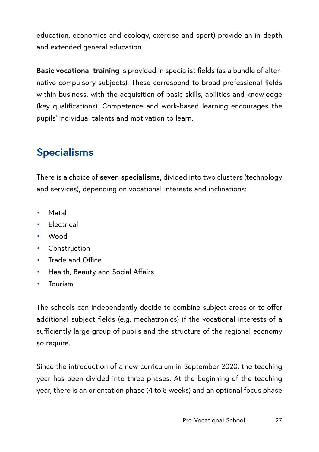education, economics and ecology, exercise and sport) provide an in-depth and extended general education.

**Basic vocational training** is provided in specialist fields (as a bundle of alternative compulsory subjects). These correspond to broad professional fields within business, with the acquisition of basic skills, abilities and knowledge (key qualifications). Competence and work-based learning encourages the pupils' individual talents and motivation to learn.

# **Specialisms**

There is a choice of **seven specialisms,** divided into two clusters (technology and services), depending on vocational interests and inclinations:

- **Metal**
- Electrical
- Wood
- Construction
- Trade and Office
- Health, Beauty and Social Affairs
- Tourism

The schools can independently decide to combine subject areas or to offer additional subject fields (e.g. mechatronics) if the vocational interests of a sufficiently large group of pupils and the structure of the regional economy so require.

Since the introduction of a new curriculum in September 2020, the teaching year has been divided into three phases. At the beginning of the teaching year, there is an orientation phase (4 to 8 weeks) and an optional focus phase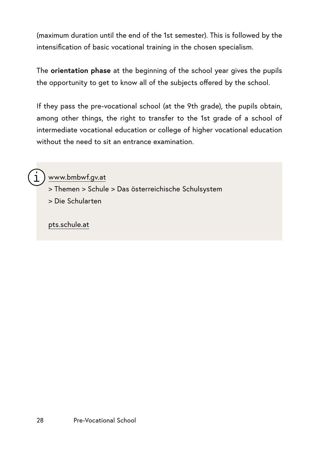(maximum duration until the end of the 1st semester). This is followed by the intensification of basic vocational training in the chosen specialism.

The **orientation phase** at the beginning of the school year gives the pupils the opportunity to get to know all of the subjects offered by the school.

If they pass the pre-vocational school (at the 9th grade), the pupils obtain, among other things, the right to transfer to the 1st grade of a school of intermediate vocational education or college of higher vocational education without the need to sit an entrance examination



[www.bmbwf.gv.at](http://www.bmbwf.gv.at)

> Themen > Schule > Das österreichische Schulsystem > Die Schularten

[pts.schule.at](http://pts.schule.at)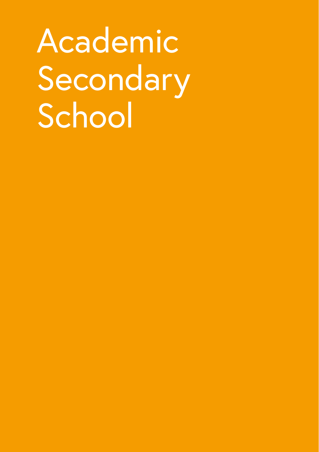# <span id="page-30-0"></span>Academic Secondary School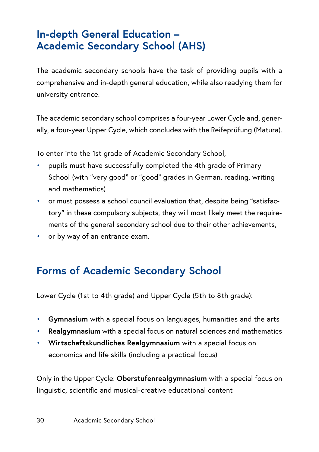### **In-depth General Education – Academic Secondary School (AHS)**

The academic secondary schools have the task of providing pupils with a comprehensive and in-depth general education, while also readying them for university entrance.

The academic secondary school comprises a four-year Lower Cycle and, generally, a four-year Upper Cycle, which concludes with the Reifeprüfung (Matura).

To enter into the 1st grade of Academic Secondary School,

- pupils must have successfully completed the 4th grade of Primary School (with "very good" or "good" grades in German, reading, writing and mathematics)
- or must possess a school council evaluation that, despite being "satisfactory" in these compulsory subjects, they will most likely meet the requirements of the general secondary school due to their other achievements,
- or by way of an entrance exam.

### **Forms of Academic Secondary School**

Lower Cycle (1st to 4th grade) and Upper Cycle (5th to 8th grade):

- **Gymnasium** with a special focus on languages, humanities and the arts
- **Realgymnasium** with a special focus on natural sciences and mathematics
- **Wirtschaftskundliches Realgymnasium** with a special focus on economics and life skills (including a practical focus)

Only in the Upper Cycle: **Oberstufenrealgymnasium** with a special focus on linguistic, scientific and musical-creative educational content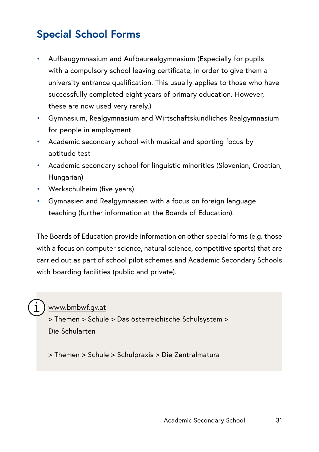## **Special School Forms**

- Aufbaugymnasium and Aufbaurealgymnasium (Especially for pupils with a compulsory school leaving certificate, in order to give them a university entrance qualification. This usually applies to those who have successfully completed eight years of primary education. However, these are now used very rarely.)
- Gymnasium, Realgymnasium and Wirtschaftskundliches Realgymnasium for people in employment
- Academic secondary school with musical and sporting focus by aptitude test
- Academic secondary school for linguistic minorities (Slovenian, Croatian, Hungarian)
- Werkschulheim (five years)
- Gymnasien and Realgymnasien with a focus on foreign language teaching (further information at the Boards of Education).

The Boards of Education provide information on other special forms (e.g. those with a focus on computer science, natural science, competitive sports) that are carried out as part of school pilot schemes and Academic Secondary Schools with boarding facilities (public and private).

[www.bmbwf.gv.at](http://www.bmbwf.gv.at)

> Themen > Schule > Das österreichische Schulsystem > Die Schularten

> Themen > Schule > Schulpraxis > Die Zentralmatura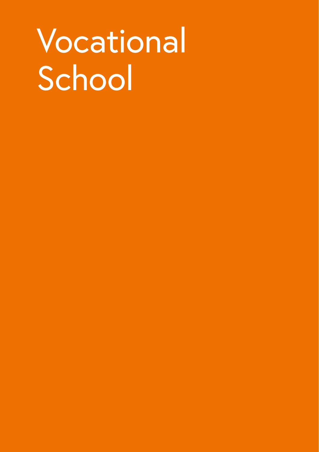# <span id="page-33-0"></span>Vocational School

- 
- 
- 
- 
- 
- 
- 
-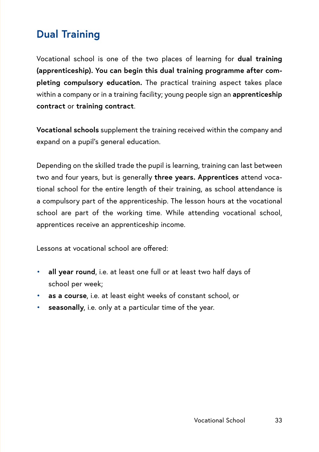### **Dual Training**

Vocational school is one of the two places of learning for **dual training (apprenticeship). You can begin this dual training programme after completing compulsory education.** The practical training aspect takes place within a company or in a training facility; young people sign an **apprenticeship contract** or **training contract**.

**Vocational schools** supplement the training received within the company and expand on a pupil's general education.

Depending on the skilled trade the pupil is learning, training can last between two and four years, but is generally **three years. Apprentices** attend vocational school for the entire length of their training, as school attendance is a compulsory part of the apprenticeship. The lesson hours at the vocational school are part of the working time. While attending vocational school, apprentices receive an apprenticeship income.

Lessons at vocational school are offered:

- **all year round**, i.e. at least one full or at least two half days of school per week;
- **as a course**, i.e. at least eight weeks of constant school, or
- seasonally, i.e. only at a particular time of the year.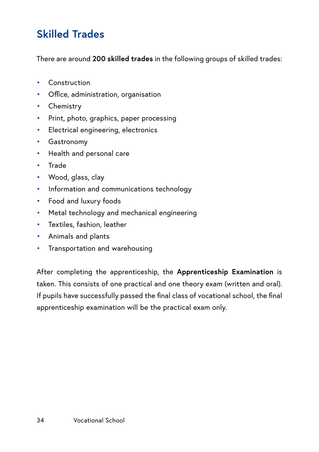## **Skilled Trades**

There are around **200 skilled trades** in the following groups of skilled trades:

- Construction
- Office, administration, organisation
- Chemistry
- Print, photo, graphics, paper processing
- Electrical engineering, electronics
- Gastronomy
- Health and personal care
- Trade
- Wood, glass, clay
- Information and communications technology
- Food and luxury foods
- Metal technology and mechanical engineering
- Textiles, fashion, leather
- Animals and plants
- Transportation and warehousing

After completing the apprenticeship, the **Apprenticeship Examination** is taken. This consists of one practical and one theory exam (written and oral). If pupils have successfully passed the final class of vocational school, the final apprenticeship examination will be the practical exam only.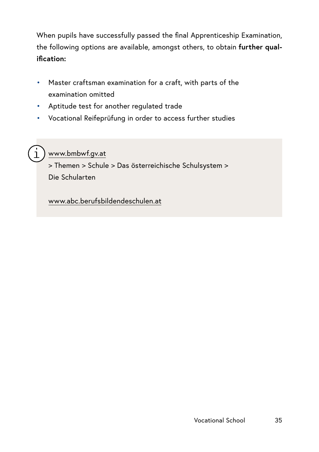When pupils have successfully passed the final Apprenticeship Examination, the following options are available, amongst others, to obtain **further qualification:** 

- Master craftsman examination for a craft, with parts of the examination omitted
- Aptitude test for another regulated trade
- Vocational Reifeprüfung in order to access further studies



## [www.bmbwf.gv.at](http://www.bmbwf.gv.at)

> Themen > Schule > Das österreichische Schulsystem > Die Schularten

[www.abc.berufsbildendeschulen.at](https://www.abc.berufsbildendeschulen.at/)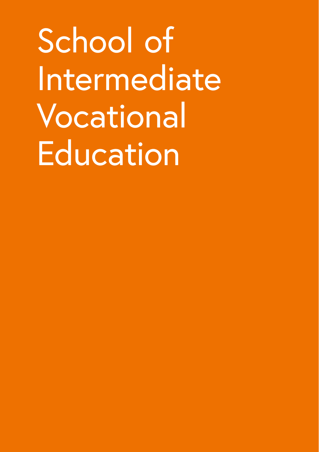School of Intermediate Vocational Education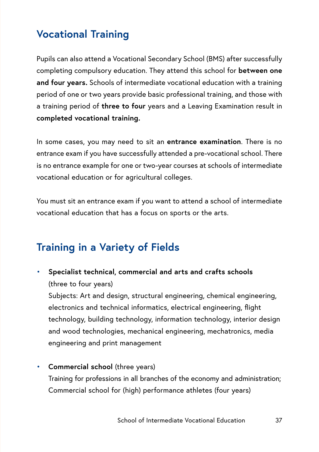# **Vocational Training**

Pupils can also attend a Vocational Secondary School (BMS) after successfully completing compulsory education. They attend this school for **between one and four years.** Schools of intermediate vocational education with a training period of one or two years provide basic professional training, and those with a training period of **three to four** years and a Leaving Examination result in **completed vocational training.** 

In some cases, you may need to sit an **entrance examination**. There is no entrance exam if you have successfully attended a pre-vocational school. There is no entrance example for one or two-year courses at schools of intermediate vocational education or for agricultural colleges.

You must sit an entrance exam if you want to attend a school of intermediate vocational education that has a focus on sports or the arts.

# **Training in a Variety of Fields**

• **Specialist technical, commercial and arts and crafts schools** (three to four years)

Subjects: Art and design, structural engineering, chemical engineering, electronics and technical informatics, electrical engineering, flight technology, building technology, information technology, interior design and wood technologies, mechanical engineering, mechatronics, media engineering and print management

• **Commercial school** (three years) Training for professions in all branches of the economy and administration; Commercial school for (high) performance athletes (four years)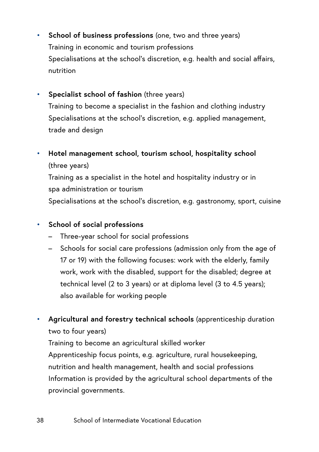- **School of business professions** (one, two and three years) Training in economic and tourism professions Specialisations at the school's discretion, e.g. health and social affairs, nutrition
- **Specialist school of fashion** (three years) Training to become a specialist in the fashion and clothing industry Specialisations at the school's discretion, e.g. applied management, trade and design
- **Hotel management school, tourism school, hospitality school** (three years)

Training as a specialist in the hotel and hospitality industry or in spa administration or tourism Specialisations at the school's discretion, e.g. gastronomy, sport, cuisine

- **School of social professions**
	- Three-year school for social professions
	- Schools for social care professions (admission only from the age of 17 or 19) with the following focuses: work with the elderly, family work, work with the disabled, support for the disabled; degree at technical level (2 to 3 years) or at diploma level (3 to 4.5 years); also available for working people
- **Agricultural and forestry technical schools** (apprenticeship duration two to four years)

Training to become an agricultural skilled worker Apprenticeship focus points, e.g. agriculture, rural housekeeping, nutrition and health management, health and social professions Information is provided by the agricultural school departments of the provincial governments.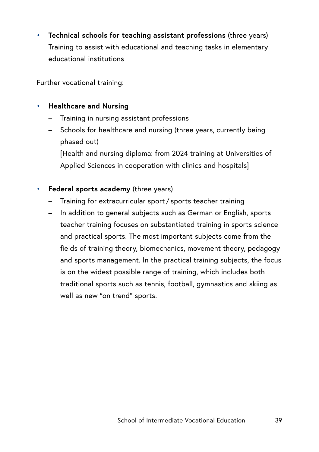• **Technical schools for teaching assistant professions** (three years) Training to assist with educational and teaching tasks in elementary educational institutions

Further vocational training:

#### • **Healthcare and Nursing**

- Training in nursing assistant professions
- Schools for healthcare and nursing (three years, currently being phased out)

[Health and nursing diploma: from 2024 training at Universities of Applied Sciences in cooperation with clinics and hospitals]

#### • **Federal sports academy** (three years)

- Training for extracurricular sport / sports teacher training
- In addition to general subjects such as German or English, sports teacher training focuses on substantiated training in sports science and practical sports. The most important subjects come from the fields of training theory, biomechanics, movement theory, pedagogy and sports management. In the practical training subjects, the focus is on the widest possible range of training, which includes both traditional sports such as tennis, football, gymnastics and skiing as well as new "on trend" sports.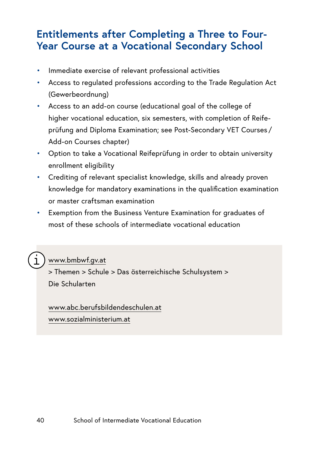## **Entitlements after Completing a Three to Four-Year Course at a Vocational Secondary School**

- Immediate exercise of relevant professional activities
- Access to regulated professions according to the Trade Regulation Act (Gewerbeordnung)
- Access to an add-on course (educational goal of the college of higher vocational education, six semesters, with completion of Reifeprüfung and Diploma Examination; see Post-Secondary VET Courses / Add-on Courses chapter)
- Option to take a Vocational Reifeprüfung in order to obtain university enrollment eligibility
- Crediting of relevant specialist knowledge, skills and already proven knowledge for mandatory examinations in the qualification examination or master craftsman examination
- Exemption from the Business Venture Examination for graduates of most of these schools of intermediate vocational education

## [www.bmbwf.gv.at](http://www.bmbwf.gv.at)

> Themen > Schule > Das österreichische Schulsystem > Die Schularten

[www.abc.berufsbildendeschulen.at](https://www.abc.berufsbildendeschulen.at/) [www.sozialministerium.at](https://www.sozialministerium.at)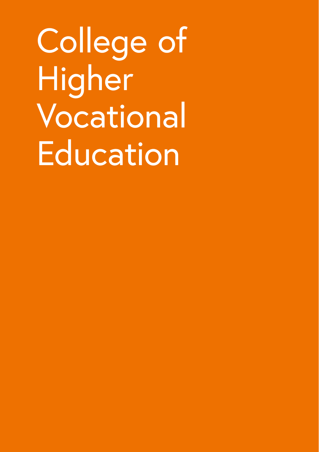College of Higher Vocational Education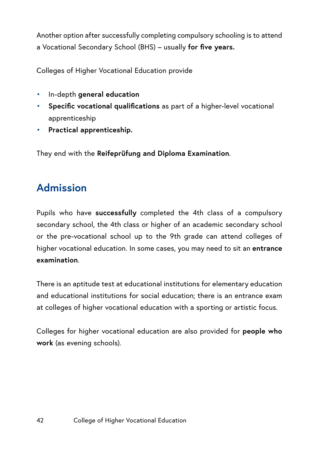Another option after successfully completing compulsory schooling is to attend a Vocational Secondary School (BHS) – usually **for five years.**

Colleges of Higher Vocational Education provide

- In-depth **general education**
- **Specific vocational qualifications** as part of a higher-level vocational apprenticeship
- **Practical apprenticeship.**

They end with the **Reifeprüfung and Diploma Examination**.

# **Admission**

Pupils who have **successfully** completed the 4th class of a compulsory secondary school, the 4th class or higher of an academic secondary school or the pre-vocational school up to the 9th grade can attend colleges of higher vocational education. In some cases, you may need to sit an **entrance examination**.

There is an aptitude test at educational institutions for elementary education and educational institutions for social education; there is an entrance exam at colleges of higher vocational education with a sporting or artistic focus.

Colleges for higher vocational education are also provided for **people who work** (as evening schools).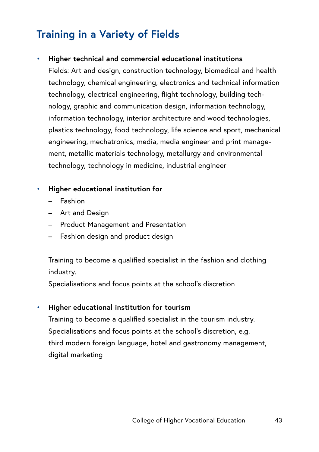# **Training in a Variety of Fields**

#### • **Higher technical and commercial educational institutions**

Fields: Art and design, construction technology, biomedical and health technology, chemical engineering, electronics and technical information technology, electrical engineering, flight technology, building technology, graphic and communication design, information technology, information technology, interior architecture and wood technologies, plastics technology, food technology, life science and sport, mechanical engineering, mechatronics, media, media engineer and print management, metallic materials technology, metallurgy and environmental technology, technology in medicine, industrial engineer

#### • **Higher educational institution for**

- Fashion
- Art and Design
- Product Management and Presentation
- Fashion design and product design

Training to become a qualified specialist in the fashion and clothing industry.

Specialisations and focus points at the school's discretion

#### • **Higher educational institution for tourism**

Training to become a qualified specialist in the tourism industry. Specialisations and focus points at the school's discretion, e.g. third modern foreign language, hotel and gastronomy management, digital marketing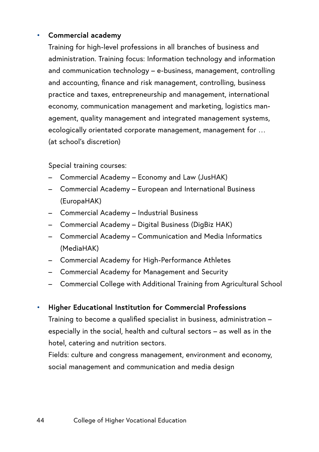#### • **Commercial academy**

Training for high-level professions in all branches of business and administration. Training focus: Information technology and information and communication technology – e-business, management, controlling and accounting, finance and risk management, controlling, business practice and taxes, entrepreneurship and management, international economy, communication management and marketing, logistics management, quality management and integrated management systems, ecologically orientated corporate management, management for … (at school's discretion)

Special training courses:

- Commercial Academy Economy and Law (JusHAK)
- Commercial Academy European and International Business (EuropaHAK)
- Commercial Academy Industrial Business
- Commercial Academy Digital Business (DigBiz HAK)
- Commercial Academy Communication and Media Informatics (MediaHAK)
- Commercial Academy for High-Performance Athletes
- Commercial Academy for Management and Security
- Commercial College with Additional Training from Agricultural School
- **Higher Educational Institution for Commercial Professions**

Training to become a qualified specialist in business, administration – especially in the social, health and cultural sectors – as well as in the hotel, catering and nutrition sectors.

Fields: culture and congress management, environment and economy, social management and communication and media design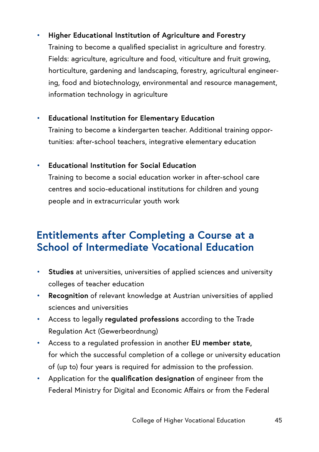## • **Higher Educational Institution of Agriculture and Forestry**

Training to become a qualified specialist in agriculture and forestry. Fields: agriculture, agriculture and food, viticulture and fruit growing, horticulture, gardening and landscaping, forestry, agricultural engineering, food and biotechnology, environmental and resource management, information technology in agriculture

• **Educational Institution for Elementary Education**

Training to become a kindergarten teacher. Additional training opportunities: after-school teachers, integrative elementary education

#### • **Educational Institution for Social Education**

Training to become a social education worker in after-school care centres and socio-educational institutions for children and young people and in extracurricular youth work

## **Entitlements after Completing a Course at a School of Intermediate Vocational Education**

- **Studies** at universities, universities of applied sciences and university colleges of teacher education
- **Recognition** of relevant knowledge at Austrian universities of applied sciences and universities
- Access to legally **regulated professions** according to the Trade Regulation Act (Gewerbeordnung)
- Access to a regulated profession in another **EU member state,** for which the successful completion of a college or university education of (up to) four years is required for admission to the profession.
- Application for the **qualification designation** of engineer from the Federal Ministry for Digital and Economic Affairs or from the Federal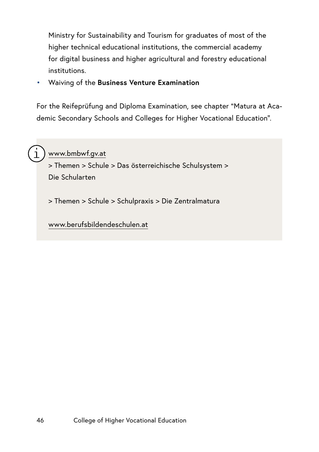Ministry for Sustainability and Tourism for graduates of most of the higher technical educational institutions, the commercial academy for digital business and higher agricultural and forestry educational institutions.

• Waiving of the **Business Venture Examination** 

For the Reifeprüfung and Diploma Examination, see chapter "Matura at Academic Secondary Schools and Colleges for Higher Vocational Education".



## [www.bmbwf.gv.at](http://www.bmbwf.gv.at)

> Themen > Schule > Das österreichische Schulsystem > Die Schularten

> Themen > Schule > Schulpraxis > Die Zentralmatura

[www.berufsbildendeschulen.at](https://www.berufsbildendeschulen.at/)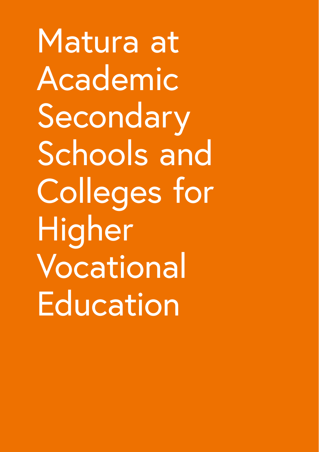Matura at Academic Secondary Schools and Colleges for **Higher** Vocational **Education**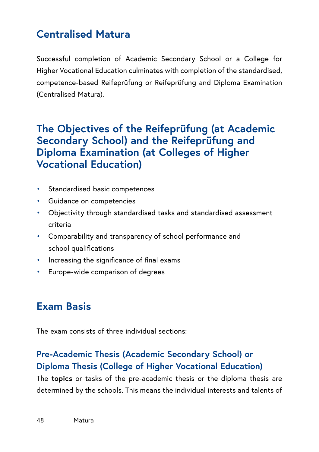# **Centralised Matura**

Successful completion of Academic Secondary School or a College for Higher Vocational Education culminates with completion of the standardised, competence-based Reifeprüfung or Reifeprüfung and Diploma Examination (Centralised Matura).

## **The Objectives of the Reifeprüfung (at Academic Secondary School) and the Reifeprüfung and Diploma Examination (at Colleges of Higher Vocational Education)**

- Standardised basic competences
- Guidance on competencies
- Objectivity through standardised tasks and standardised assessment criteria
- Comparability and transparency of school performance and school qualifications
- Increasing the significance of final exams
- Europe-wide comparison of degrees

# **Exam Basis**

The exam consists of three individual sections:

## **Pre-Academic Thesis (Academic Secondary School) or Diploma Thesis (College of Higher Vocational Education)**

The **topics** or tasks of the pre-academic thesis or the diploma thesis are determined by the schools. This means the individual interests and talents of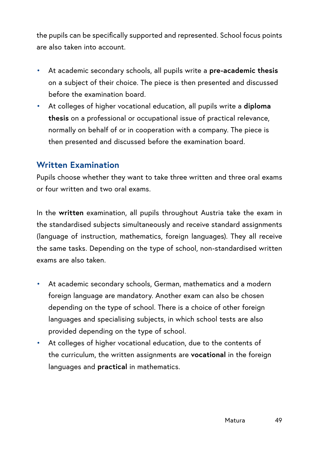the pupils can be specifically supported and represented. School focus points are also taken into account.

- At academic secondary schools, all pupils write a **pre-academic thesis** on a subject of their choice. The piece is then presented and discussed before the examination board.
- At colleges of higher vocational education, all pupils write a **diploma thesis** on a professional or occupational issue of practical relevance, normally on behalf of or in cooperation with a company. The piece is then presented and discussed before the examination board.

## **Written Examination**

Pupils choose whether they want to take three written and three oral exams or four written and two oral exams.

In the **written** examination, all pupils throughout Austria take the exam in the standardised subjects simultaneously and receive standard assignments (language of instruction, mathematics, foreign languages). They all receive the same tasks. Depending on the type of school, non-standardised written exams are also taken.

- At academic secondary schools, German, mathematics and a modern foreign language are mandatory. Another exam can also be chosen depending on the type of school. There is a choice of other foreign languages and specialising subjects, in which school tests are also provided depending on the type of school.
- At colleges of higher vocational education, due to the contents of the curriculum, the written assignments are **vocational** in the foreign languages and **practical** in mathematics.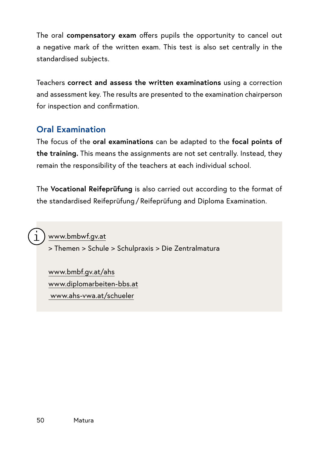The oral **compensatory exam** offers pupils the opportunity to cancel out a negative mark of the written exam. This test is also set centrally in the standardised subjects.

Teachers **correct and assess the written examinations** using a correction and assessment key. The results are presented to the examination chairperson for inspection and confirmation.

## **Oral Examination**

The focus of the **oral examinations** can be adapted to the **focal points of the training.** This means the assignments are not set centrally. Instead, they remain the responsibility of the teachers at each individual school.

The **Vocational Reifeprüfung** is also carried out according to the format of the standardised Reifeprüfung / Reifeprüfung and Diploma Examination.

[www.bmbwf.gv.at](http://www.bmbwf.gv.at) > Themen > Schule > Schulpraxis > Die Zentralmatura

[www.bmbf.gv.at/ahs](https://www.bmbwf.gv.at/ahs) [www.diplomarbeiten-bbs.at](http://www.diplomarbeiten-bbs.at) [www.ahs-vwa.at/schueler](http://www.ahs-vwa.at/schueler)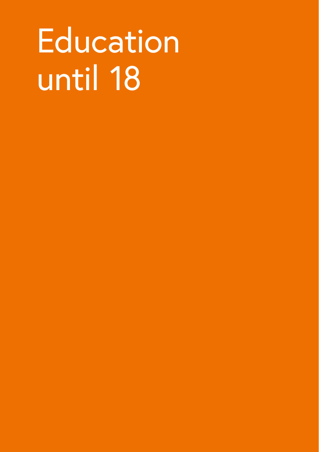# Education until 18

- 
- 
- 
- - -
- -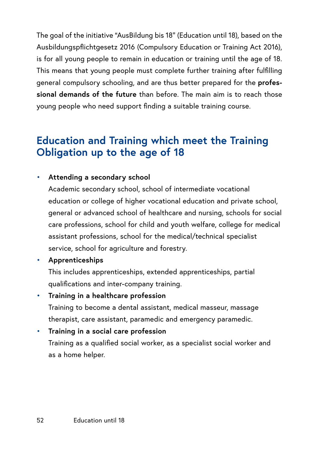The goal of the initiative "AusBildung bis 18" (Education until 18), based on the Ausbildungspflichtgesetz 2016 (Compulsory Education or Training Act 2016), is for all young people to remain in education or training until the age of 18. This means that young people must complete further training after fulfilling general compulsory schooling, and are thus better prepared for the **professional demands of the future** than before. The main aim is to reach those young people who need support finding a suitable training course.

# **Education and Training which meet the Training Obligation up to the age of 18**

#### • **Attending a secondary school**

Academic secondary school, school of intermediate vocational education or college of higher vocational education and private school, general or advanced school of healthcare and nursing, schools for social care professions, school for child and youth welfare, college for medical assistant professions, school for the medical/technical specialist service, school for agriculture and forestry.

#### • **Apprenticeships**

This includes apprenticeships, extended apprenticeships, partial qualifications and inter-company training.

• **Training in a healthcare profession** Training to become a dental assistant, medical masseur, massage therapist, care assistant, paramedic and emergency paramedic.

#### • **Training in a social care profession**

Training as a qualified social worker, as a specialist social worker and as a home helper.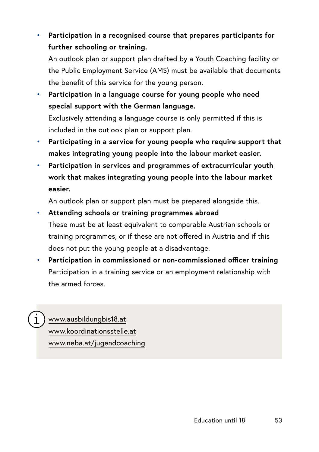## • **Participation in a recognised course that prepares participants for further schooling or training.**

An outlook plan or support plan drafted by a Youth Coaching facility or the Public Employment Service (AMS) must be available that documents the benefit of this service for the young person.

• **Participation in a language course for young people who need special support with the German language.**  Exclusively attending a language course is only permitted if this is included in the outlook plan or support plan.

- **Participating in a service for young people who require support that makes integrating young people into the labour market easier.**
- **Participation in services and programmes of extracurricular youth work that makes integrating young people into the labour market easier.**

An outlook plan or support plan must be prepared alongside this.

## • **Attending schools or training programmes abroad**  These must be at least equivalent to comparable Austrian schools or training programmes, or if these are not offered in Austria and if this does not put the young people at a disadvantage.

• **Participation in commissioned or non-commissioned officer training**  Participation in a training service or an employment relationship with the armed forces.



[www.ausbildungbis18.at](http://www.ausbildungbis18.at) [www.koordinationsstelle.at](http://www.koordinationsstelle.at) [www.neba.at/jugendcoaching](http://www.neba.at/jugendcoaching)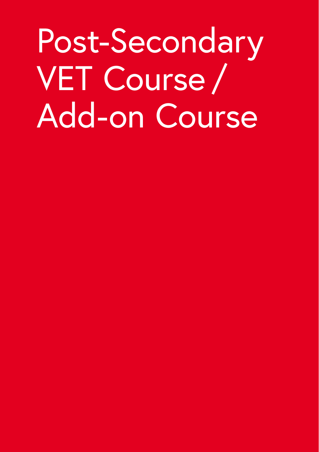Post-Secondary VET Course / Add-on Course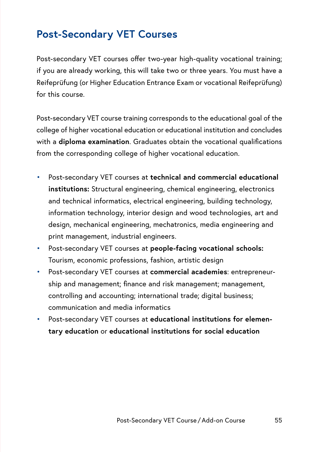# **Post-Secondary VET Courses**

Post-secondary VET courses offer two-year high-quality vocational training; if you are already working, this will take two or three years. You must have a Reifeprüfung (or Higher Education Entrance Exam or vocational Reifeprüfung) for this course.

Post-secondary VET course training corresponds to the educational goal of the college of higher vocational education or educational institution and concludes with a **diploma examination**. Graduates obtain the vocational qualifications from the corresponding college of higher vocational education.

- Post-secondary VET courses at **technical and commercial educational institutions:** Structural engineering, chemical engineering, electronics and technical informatics, electrical engineering, building technology, information technology, interior design and wood technologies, art and design, mechanical engineering, mechatronics, media engineering and print management, industrial engineers.
- Post-secondary VET courses at **people-facing vocational schools:** Tourism, economic professions, fashion, artistic design
- Post-secondary VET courses at **commercial academies**: entrepreneurship and management; finance and risk management; management, controlling and accounting; international trade; digital business; communication and media informatics
- Post-secondary VET courses at **educational institutions for elementary education** or **educational institutions for social education**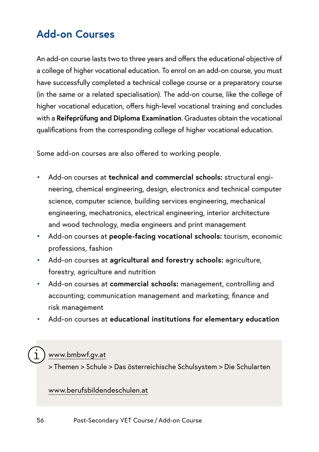# **Add-on Courses**

An add-on course lasts two to three years and offers the educational objective of a college of higher vocational education. To enrol on an add-on course, you must have successfully completed a technical college course or a preparatory course (in the same or a related specialisation). The add-on course, like the college of higher vocational education, offers high-level vocational training and concludes with a **Reifeprüfung and Diploma Examination**. Graduates obtain the vocational qualifications from the corresponding college of higher vocational education.

Some add-on courses are also offered to working people.

- Add-on courses at **technical and commercial schools:** structural engineering, chemical engineering, design, electronics and technical computer science, computer science, building services engineering, mechanical engineering, mechatronics, electrical engineering, interior architecture and wood technology, media engineers and print management
- Add-on courses at **people-facing vocational schools:** tourism, economic professions, fashion
- Add-on courses at **agricultural and forestry schools:** agriculture, forestry, agriculture and nutrition
- Add-on courses at **commercial schools:** management, controlling and accounting; communication management and marketing; finance and risk management
- Add-on courses at **educational institutions for elementary education**

## [www.bmbwf.gv.at](http://www.bmbwf.gv.at)

> Themen > Schule > Das österreichische Schulsystem > Die Schularten

#### [www.berufsbildendeschulen.at](https://www.berufsbildendeschulen.at/)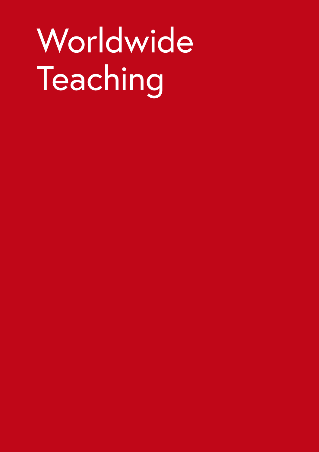# Worldwide Teaching

- -
- 
- -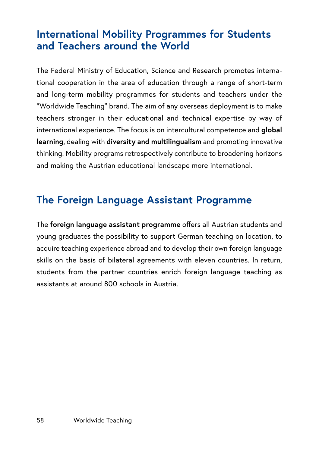# **International Mobility Programmes for Students and Teachers around the World**

The Federal Ministry of Education, Science and Research promotes international cooperation in the area of education through a range of short-term and long-term mobility programmes for students and teachers under the "Worldwide Teaching" brand. The aim of any overseas deployment is to make teachers stronger in their educational and technical expertise by way of international experience. The focus is on intercultural competence and **global learning,** dealing with **diversity and multilingualism** and promoting innovative thinking. Mobility programs retrospectively contribute to broadening horizons and making the Austrian educational landscape more international.

# **The Foreign Language Assistant Programme**

The **foreign language assistant programme** offers all Austrian students and young graduates the possibility to support German teaching on location, to acquire teaching experience abroad and to develop their own foreign language skills on the basis of bilateral agreements with eleven countries. In return, students from the partner countries enrich foreign language teaching as assistants at around 800 schools in Austria.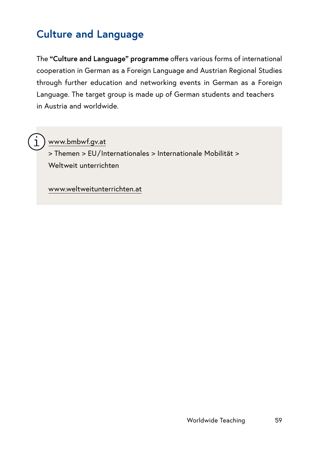# **Culture and Language**

The **"Culture and Language" programme** offers various forms of international cooperation in German as a Foreign Language and Austrian Regional Studies through further education and networking events in German as a Foreign Language. The target group is made up of German students and teachers in Austria and worldwide.

[www.bmbwf.gv.at](http://www.bmbwf.gv.at)

> Themen > EU/Internationales > Internationale Mobilität > Weltweit unterrichten

[www.weltweitunterrichten.at](http://www.weltweitunterrichten.at)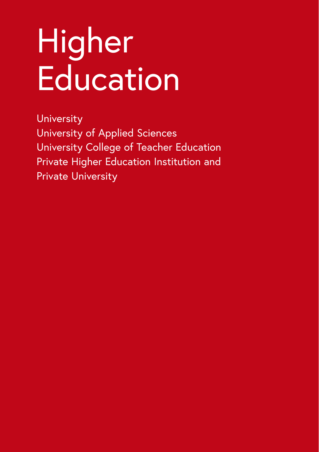# Higher **Education**

**University** University of Applied Sciences University College of Teacher Education Private Higher Education Institution and Private University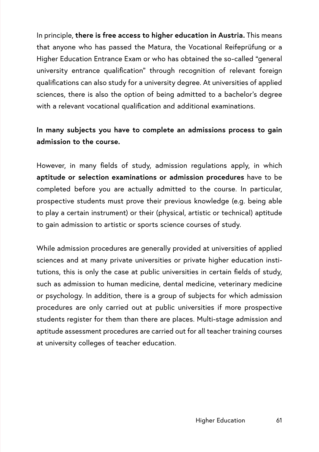In principle, **there is free access to higher education in Austria.** This means that anyone who has passed the Matura, the Vocational Reifeprüfung or a Higher Education Entrance Exam or who has obtained the so-called "general university entrance qualification" through recognition of relevant foreign qualifications can also study for a university degree. At universities of applied sciences, there is also the option of being admitted to a bachelor's degree with a relevant vocational qualification and additional examinations.

## **In many subjects you have to complete an admissions process to gain admission to the course.**

However, in many fields of study, admission regulations apply, in which **aptitude or selection examinations or admission procedures** have to be completed before you are actually admitted to the course. In particular, prospective students must prove their previous knowledge (e.g. being able to play a certain instrument) or their (physical, artistic or technical) aptitude to gain admission to artistic or sports science courses of study.

While admission procedures are generally provided at universities of applied sciences and at many private universities or private higher education institutions, this is only the case at public universities in certain fields of study, such as admission to human medicine, dental medicine, veterinary medicine or psychology. In addition, there is a group of subjects for which admission procedures are only carried out at public universities if more prospective students register for them than there are places. Multi-stage admission and aptitude assessment procedures are carried out for all teacher training courses at university colleges of teacher education.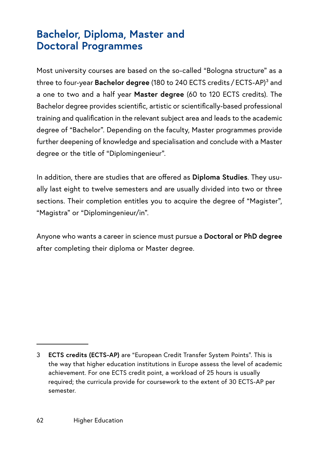# **Bachelor, Diploma, Master and Doctoral Programmes**

Most university courses are based on the so-called "Bologna structure" as a three to four-year **Bachelor degree** (180 to 240 ECTS credits / ECTS-AP)3 and a one to two and a half year **Master degree** (60 to 120 ECTS credits). The Bachelor degree provides scientific, artistic or scientifically-based professional training and qualification in the relevant subject area and leads to the academic degree of "Bachelor". Depending on the faculty, Master programmes provide further deepening of knowledge and specialisation and conclude with a Master degree or the title of "Diplomingenieur".

In addition, there are studies that are offered as **Diploma Studies**. They usually last eight to twelve semesters and are usually divided into two or three sections. Their completion entitles you to acquire the degree of "Magister", "Magistra" or "Diplomingenieur/in".

Anyone who wants a career in science must pursue a **Doctoral or PhD degree** after completing their diploma or Master degree.

<sup>3</sup> **ECTS credits (ECTS-AP)** are "European Credit Transfer System Points". This is the way that higher education institutions in Europe assess the level of academic achievement. For one ECTS credit point, a workload of 25 hours is usually required; the curricula provide for coursework to the extent of 30 ECTS-AP per semester.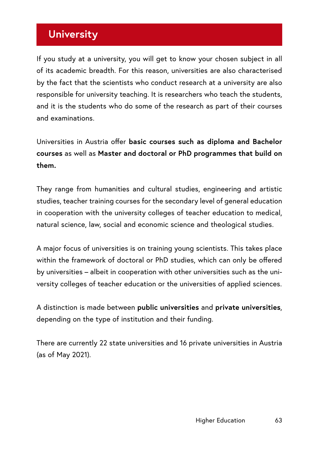# **University**

If you study at a university, you will get to know your chosen subject in all of its academic breadth. For this reason, universities are also characterised by the fact that the scientists who conduct research at a university are also responsible for university teaching. It is researchers who teach the students, and it is the students who do some of the research as part of their courses and examinations.

Universities in Austria offer **basic courses such as diploma and Bachelor courses** as well as **Master and doctoral or PhD programmes that build on them.** 

They range from humanities and cultural studies, engineering and artistic studies, teacher training courses for the secondary level of general education in cooperation with the university colleges of teacher education to medical, natural science, law, social and economic science and theological studies.

A major focus of universities is on training young scientists. This takes place within the framework of doctoral or PhD studies, which can only be offered by universities – albeit in cooperation with other universities such as the university colleges of teacher education or the universities of applied sciences.

A distinction is made between **public universities** and **private universities**, depending on the type of institution and their funding.

There are currently 22 state universities and 16 private universities in Austria (as of May 2021).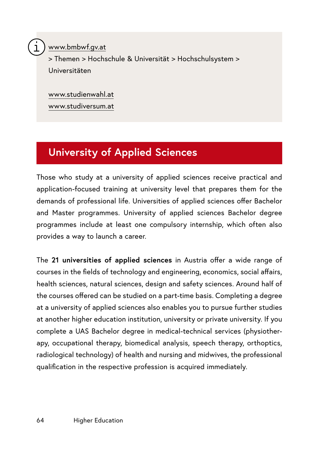[www.bmbwf.gv.at](http://www.bmbwf.gv.at)

> Themen > Hochschule & Universität > Hochschulsystem > Universitäten

[www.studienwahl.at](http://www.studienwahl.at) [www.studiversum.at](http://www.studiversum.at)

# **University of Applied Sciences**

Those who study at a university of applied sciences receive practical and application-focused training at university level that prepares them for the demands of professional life. Universities of applied sciences offer Bachelor and Master programmes. University of applied sciences Bachelor degree programmes include at least one compulsory internship, which often also provides a way to launch a career.

The **21 universities of applied sciences** in Austria offer a wide range of courses in the fields of technology and engineering, economics, social affairs, health sciences, natural sciences, design and safety sciences. Around half of the courses offered can be studied on a part-time basis. Completing a degree at a university of applied sciences also enables you to pursue further studies at another higher education institution, university or private university. If you complete a UAS Bachelor degree in medical-technical services (physiotherapy, occupational therapy, biomedical analysis, speech therapy, orthoptics, radiological technology) of health and nursing and midwives, the professional qualification in the respective profession is acquired immediately.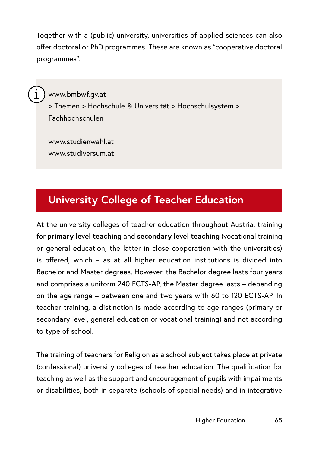Together with a (public) university, universities of applied sciences can also offer doctoral or PhD programmes. These are known as "cooperative doctoral programmes".



## [www.bmbwf.gv.at](http://www.bmbwf.gv.at)

> Themen > Hochschule & Universität > Hochschulsystem > Fachhochschulen

[www.studienwahl.at](http://www.studienwahl.at) [www.studiversum.at](http://www.studiversum.at)

# **University College of Teacher Education**

At the university colleges of teacher education throughout Austria, training for **primary level teaching** and **secondary level teaching** (vocational training or general education, the latter in close cooperation with the universities) is offered, which – as at all higher education institutions is divided into Bachelor and Master degrees. However, the Bachelor degree lasts four years and comprises a uniform 240 ECTS-AP, the Master degree lasts – depending on the age range – between one and two years with 60 to 120 ECTS-AP. In teacher training, a distinction is made according to age ranges (primary or secondary level, general education or vocational training) and not according to type of school.

The training of teachers for Religion as a school subject takes place at private (confessional) university colleges of teacher education. The qualification for teaching as well as the support and encouragement of pupils with impairments or disabilities, both in separate (schools of special needs) and in integrative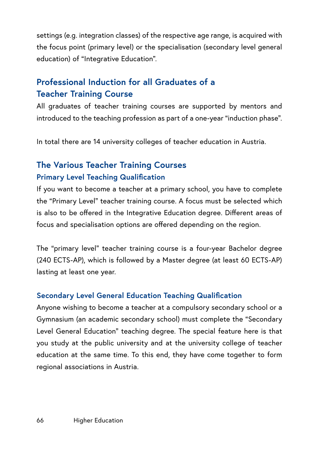settings (e.g. integration classes) of the respective age range, is acquired with the focus point (primary level) or the specialisation (secondary level general education) of "Integrative Education".

## **Professional Induction for all Graduates of a Teacher Training Course**

All graduates of teacher training courses are supported by mentors and introduced to the teaching profession as part of a one-year "induction phase".

In total there are 14 university colleges of teacher education in Austria.

## **The Various Teacher Training Courses Primary Level Teaching Qualification**

If you want to become a teacher at a primary school, you have to complete the "Primary Level" teacher training course. A focus must be selected which is also to be offered in the Integrative Education degree. Different areas of focus and specialisation options are offered depending on the region.

The "primary level" teacher training course is a four-year Bachelor degree (240 ECTS-AP), which is followed by a Master degree (at least 60 ECTS-AP) lasting at least one year.

## **Secondary Level General Education Teaching Qualification**

Anyone wishing to become a teacher at a compulsory secondary school or a Gymnasium (an academic secondary school) must complete the "Secondary Level General Education" teaching degree. The special feature here is that you study at the public university and at the university college of teacher education at the same time. To this end, they have come together to form regional associations in Austria.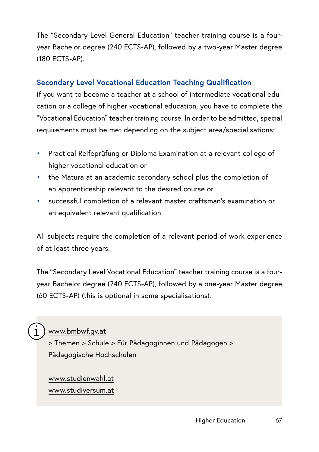The "Secondary Level General Education" teacher training course is a fouryear Bachelor degree (240 ECTS-AP), followed by a two-year Master degree (180 ECTS-AP).

## **Secondary Level Vocational Education Teaching Qualification**

If you want to become a teacher at a school of intermediate vocational education or a college of higher vocational education, you have to complete the "Vocational Education" teacher training course. In order to be admitted, special requirements must be met depending on the subject area/specialisations:

- Practical Reifeprüfung or Diploma Examination at a relevant college of higher vocational education or
- the Matura at an academic secondary school plus the completion of an apprenticeship relevant to the desired course or
- successful completion of a relevant master craftsman's examination or an equivalent relevant qualification.

All subjects require the completion of a relevant period of work experience of at least three years.

The "Secondary Level Vocational Education" teacher training course is a fouryear Bachelor degree (240 ECTS-AP), followed by a one-year Master degree (60 ECTS-AP) (this is optional in some specialisations).

## [www.bmbwf.gv.at](http://www.bmbwf.gv.at)

> Themen > Schule > Für Pädagoginnen und Pädagogen > Pädagogische Hochschulen

## [www.studienwahl.at](http://www.studienwahl.at) www.studiversum.at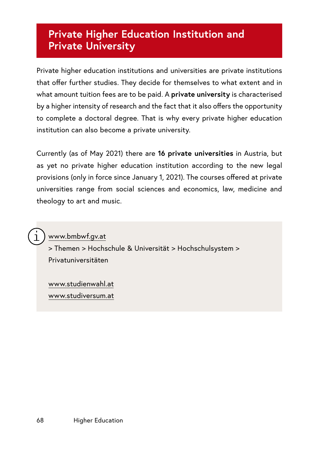## **Private Higher Education Institution and Private University**

Private higher education institutions and universities are private institutions that offer further studies. They decide for themselves to what extent and in what amount tuition fees are to be paid. A **private university** is characterised by a higher intensity of research and the fact that it also offers the opportunity to complete a doctoral degree. That is why every private higher education institution can also become a private university.

Currently (as of May 2021) there are **16 private universities** in Austria, but as yet no private higher education institution according to the new legal provisions (only in force since January 1, 2021). The courses offered at private universities range from social sciences and economics, law, medicine and theology to art and music.



[www.bmbwf.gv.at](http://www.bmbwf.gv.at)

> Themen > Hochschule & Universität > Hochschulsystem > Privatuniversitäten

[www.studienwahl.at](http://www.studienwahl.at) www.studiversum.at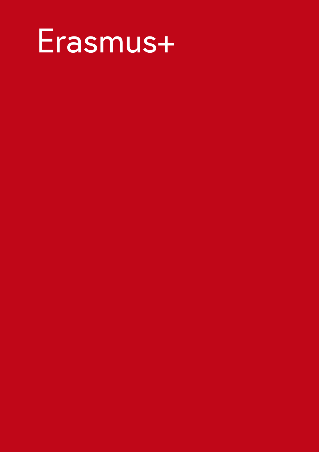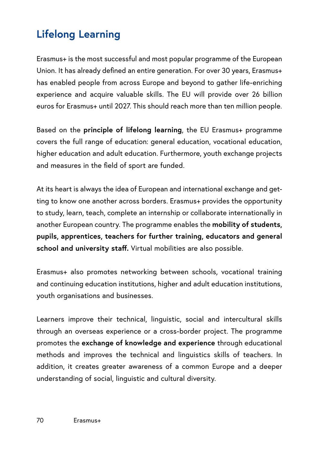# **Lifelong Learning**

Erasmus+ is the most successful and most popular programme of the European Union. It has already defined an entire generation. For over 30 years, Erasmus+ has enabled people from across Europe and beyond to gather life-enriching experience and acquire valuable skills. The EU will provide over 26 billion euros for Erasmus+ until 2027. This should reach more than ten million people.

Based on the **principle of lifelong learning**, the EU Erasmus+ programme covers the full range of education: general education, vocational education, higher education and adult education. Furthermore, youth exchange projects and measures in the field of sport are funded.

At its heart is always the idea of European and international exchange and getting to know one another across borders. Erasmus+ provides the opportunity to study, learn, teach, complete an internship or collaborate internationally in another European country. The programme enables the **mobility of students, pupils, apprentices, teachers for further training, educators and general school and university staff.** Virtual mobilities are also possible.

Erasmus+ also promotes networking between schools, vocational training and continuing education institutions, higher and adult education institutions, youth organisations and businesses.

Learners improve their technical, linguistic, social and intercultural skills through an overseas experience or a cross-border project. The programme promotes the **exchange of knowledge and experience** through educational methods and improves the technical and linguistics skills of teachers. In addition, it creates greater awareness of a common Europe and a deeper understanding of social, linguistic and cultural diversity.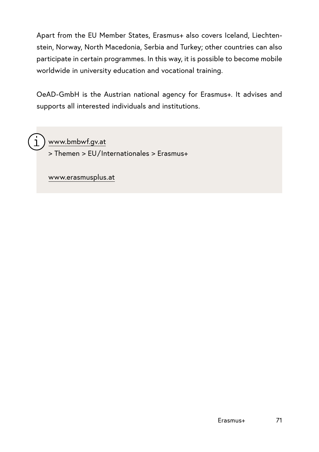Apart from the EU Member States, Erasmus+ also covers Iceland, Liechtenstein, Norway, North Macedonia, Serbia and Turkey; other countries can also participate in certain programmes. In this way, it is possible to become mobile worldwide in university education and vocational training.

OeAD-GmbH is the Austrian national agency for Erasmus+. It advises and supports all interested individuals and institutions.

[www.bmbwf.gv.at](http://www.bmbwf.gv.at)

> Themen > EU/Internationales > Erasmus+

[www.erasmusplus.at](http://www.erasmusplus.at)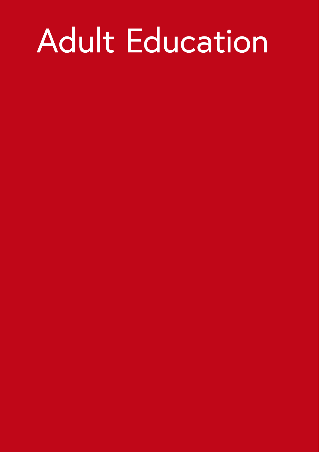# Adult Education

- 
- 
- 
- 
- 
- 
- 
-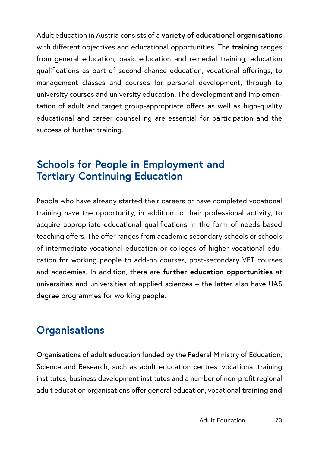Adult education in Austria consists of a **variety of educational organisations** with different objectives and educational opportunities. The **training** ranges from general education, basic education and remedial training, education qualifications as part of second-chance education, vocational offerings, to management classes and courses for personal development, through to university courses and university education. The development and implementation of adult and target group-appropriate offers as well as high-quality educational and career counselling are essential for participation and the success of further training.

# **Schools for People in Employment and Tertiary Continuing Education**

People who have already started their careers or have completed vocational training have the opportunity, in addition to their professional activity, to acquire appropriate educational qualifications in the form of needs-based teaching offers. The offer ranges from academic secondary schools or schools of intermediate vocational education or colleges of higher vocational education for working people to add-on courses, post-secondary VET courses and academies. In addition, there are **further education opportunities** at universities and universities of applied sciences – the latter also have UAS degree programmes for working people.

# **Organisations**

Organisations of adult education funded by the Federal Ministry of Education, Science and Research, such as adult education centres, vocational training institutes, business development institutes and a number of non-profit regional adult education organisations offer general education, vocational **training and**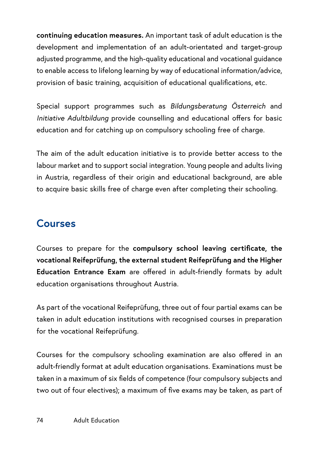**continuing education measures.** An important task of adult education is the development and implementation of an adult-orientated and target-group adjusted programme, and the high-quality educational and vocational guidance to enable access to lifelong learning by way of educational information/advice, provision of basic training, acquisition of educational qualifications, etc.

Special support programmes such as *Bildungsberatung Österreich* and *Initiative Adultbildung* provide counselling and educational offers for basic education and for catching up on compulsory schooling free of charge.

The aim of the adult education initiative is to provide better access to the labour market and to support social integration. Young people and adults living in Austria, regardless of their origin and educational background, are able to acquire basic skills free of charge even after completing their schooling.

# **Courses**

Courses to prepare for the **compulsory school leaving certificate, the vocational Reifeprüfung, the external student Reifeprüfung and the Higher Education Entrance Exam** are offered in adult-friendly formats by adult education organisations throughout Austria.

As part of the vocational Reifeprüfung, three out of four partial exams can be taken in adult education institutions with recognised courses in preparation for the vocational Reifeprüfung.

Courses for the compulsory schooling examination are also offered in an adult-friendly format at adult education organisations. Examinations must be taken in a maximum of six fields of competence (four compulsory subjects and two out of four electives); a maximum of five exams may be taken, as part of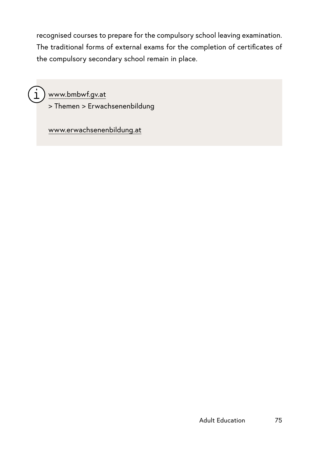recognised courses to prepare for the compulsory school leaving examination. The traditional forms of external exams for the completion of certificates of the compulsory secondary school remain in place.



[www.bmbwf.gv.at](http://www.bmbwf.gv.at)

> Themen > Erwachsenenbildung

[www.erwachsenenbildung.at](http://www.erwachsenenbildung.at)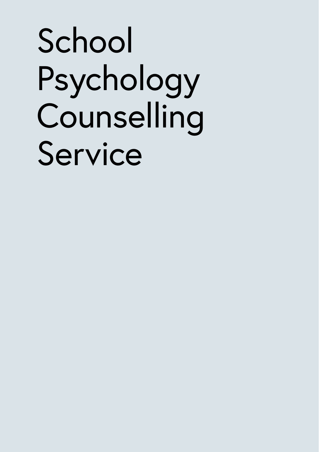# School Psychology Counselling Service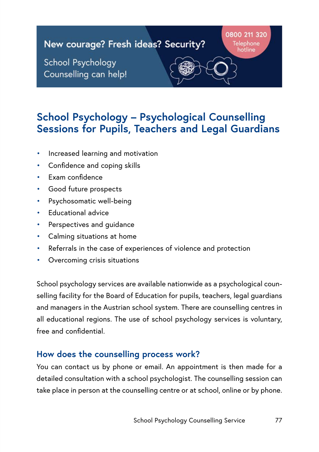#### 0800 211 320 New courage? Fresh ideas? Security? Telephone orline School Psychology Counselling can help!

# **School Psychology – Psychological Counselling Sessions for Pupils, Teachers and Legal Guardians**

- Increased learning and motivation
- Confidence and coping skills
- Exam confidence
- Good future prospects
- Psychosomatic well-being
- Educational advice
- Perspectives and quidance
- Calming situations at home
- Referrals in the case of experiences of violence and protection
- Overcoming crisis situations

School psychology services are available nationwide as a psychological counselling facility for the Board of Education for pupils, teachers, legal guardians and managers in the Austrian school system. There are counselling centres in all educational regions. The use of school psychology services is voluntary, free and confidential.

## **How does the counselling process work?**

You can contact us by phone or email. An appointment is then made for a detailed consultation with a school psychologist. The counselling session can take place in person at the counselling centre or at school, online or by phone.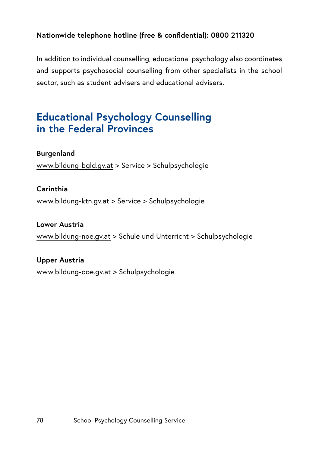#### **Nationwide telephone hotline (free & confidential): 0800 211320**

In addition to individual counselling, educational psychology also coordinates and supports psychosocial counselling from other specialists in the school sector, such as student advisers and educational advisers.

# **Educational Psychology Counselling in the Federal Provinces**

#### **Burgenland**

[www.bildung-bgld.gv.at](http://www.bildung-bgld.gv.at) > Service > Schulpsychologie

#### **Carinthia**

[www.bildung-ktn.gv.at](http://www.bildung-ktn.gv.at) > Service > Schulpsychologie

#### **Lower Austria**

[www.bildung-noe.gv.at](https://www.bildung-noe.gv.at/) > Schule und Unterricht > Schulpsychologie

## **Upper Austria**

[www.bildung-ooe.gv.at](http://www.bildung-ooe.gv.at) > Schulpsychologie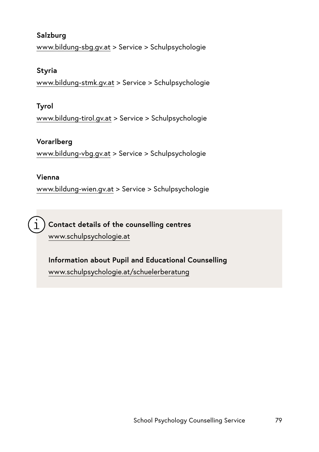## **Salzburg**

[www.bildung-sbg.gv.at](http://www.bildung-sbg.gv.at) > Service > Schulpsychologie

#### **Styria**

[www.bildung-stmk.gv.at](http://www.bildung-stmk.gv.at) > Service > Schulpsychologie

## **Tyrol**

[www.bildung-tirol.gv.at](http://www.bildung-tirol.gv.at) > Service > Schulpsychologie

## **Vorarlberg**

[www.bildung-vbg.gv.at](http://www.bildung-vbg.gv.at) > Service > Schulpsychologie

## **Vienna**

[www.bildung-wien.gv.at](http://www.bildung-wien.gv.at) > Service > Schulpsychologie

**Contact details of the counselling centres** [www.schulpsychologie.at](http://www.schulpsychologie.at)

**Information about Pupil and Educational Counselling**  [www.schulpsychologie.at/schuelerberatung](http://www.schulpsychologie.at/schuelerberatung)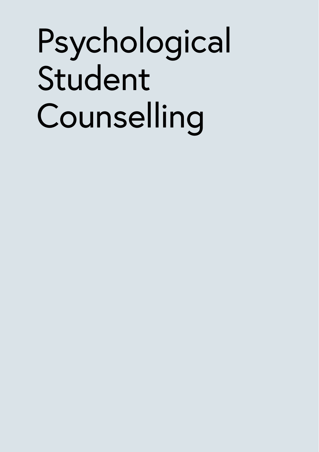# Psychological Student **Counselling**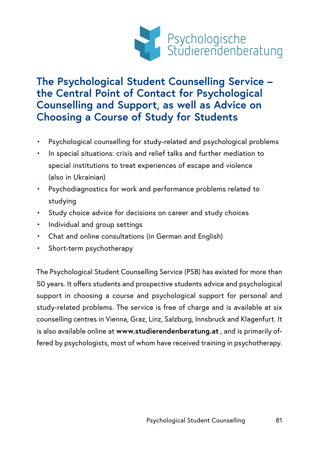

# **The Psychological Student Counselling Service – the Central Point of Contact for Psychological Counselling and Support, as well as Advice on Choosing a Course of Study for Students**

- Psychological counselling for study-related and psychological problems
- In special situations: crisis and relief talks and further mediation to special institutions to treat experiences of escape and violence (also in Ukrainian)
- Psychodiagnostics for work and performance problems related to studying
- Study choice advice for decisions on career and study choices
- Individual and group settings
- Chat and online consultations (in German and English)
- Short-term psychotherapy

The Psychological Student Counselling Service (PSB) has existed for more than 50 years. It offers students and prospective students advice and psychological support in choosing a course and psychological support for personal and study-related problems. The service is free of charge and is available at six counselling centres in Vienna, Graz, Linz, Salzburg, Innsbruck and Klagenfurt. It is also available online at **[www.studierendenberatung.at](https://www.studierendenberatung.at)** , and is primarily offered by psychologists, most of whom have received training in psychotherapy.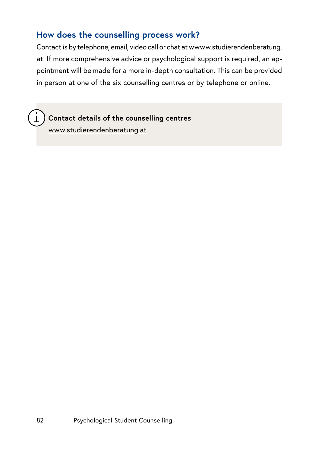## **How does the counselling process work?**

Contact is by telephone, email, video call or chat at [wwww.studierendenberatung.](https://www.studierendenberatung.at) [at.](https://www.studierendenberatung.at) If more comprehensive advice or psychological support is required, an appointment will be made for a more in-depth consultation. This can be provided in person at one of the six counselling centres or by telephone or online.

**Contact details of the counselling centres**  [www.studierendenberatung.at](https://www.studierendenberatung.at)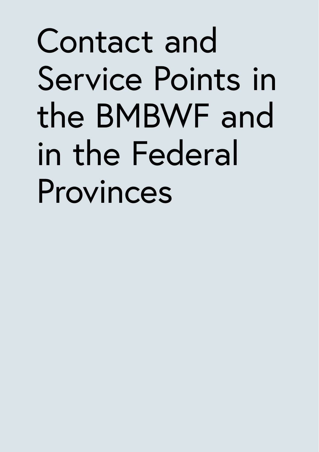# Contact and Service Points in the BMBWF and in the Federal Provinces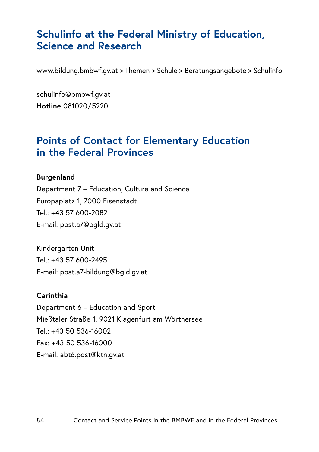# **Schulinfo at the Federal Ministry of Education, Science and Research**

[www.bildung.bmbwf.gv.at](https://www.bmbwf.gv.at/) > Themen > Schule > Beratungsangebote > Schulinfo

[schulinfo@bmbwf.gv.at](mailto:schulinfo@bmbwf.gv.at) **Hotline** 081020/5220

# **Points of Contact for Elementary Education in the Federal Provinces**

#### **Burgenland**

Department 7 – Education, Culture and Science Europaplatz 1, 7000 Eisenstadt Tel.: +43 57 600-2082 E-mail: [post.a7@bgld.gv.at](mailto:post.a7%40bgld.gv.at%20?subject=)

Kindergarten Unit Tel.: +43 57 600-2495 E-mail: [post.a7-bildung@bgld.gv.at](mailto:post.a7-bildung%40bgld.gv.at?subject=)

#### **Carinthia**

Department 6 – Education and Sport Mießtaler Straße 1, 9021 Klagenfurt am Wörthersee Tel.: +43 50 536-16002 Fax: +43 50 536-16000 E-mail: [abt6.post@ktn.gv.at](mailto:abt6.post%40ktn.gv.at?subject=)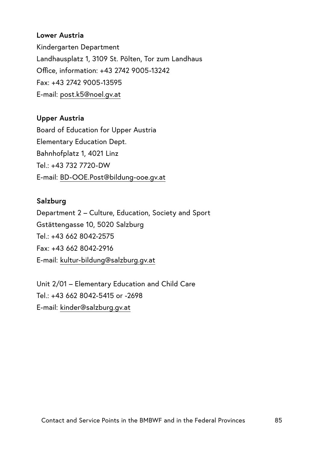#### **Lower Austria**

Kindergarten Department Landhausplatz 1, 3109 St. Pölten, Tor zum Landhaus Office, information: +43 2742 9005-13242 Fax: +43 2742 9005-13595 E-mail: [post.k5@noel.gv.at](mailto:post.k5%40noel.gv.at?subject=)

#### **Upper Austria**

Board of Education for Upper Austria Elementary Education Dept. Bahnhofplatz 1, 4021 Linz Tel.: +43 732 7720-DW E-mail: [BD-OOE.Post@bildung-ooe.gv.at](mailto:BD-OOE.Post%40bildung-ooe.gv.at?subject=)

#### **Salzburg**

Department 2 – Culture, Education, Society and Sport Gstättengasse 10, 5020 Salzburg Tel.: +43 662 8042-2575 Fax: +43 662 8042-2916 E-mail: [kultur-bildung@salzburg.gv.at](mailto:kultur-bildung%40salzburg.gv.at?subject=)

Unit 2/01 – Elementary Education and Child Care Tel.: +43 662 8042-5415 or -2698 E-mail: [kinder@salzburg.gv.at](mailto:kinder%40salzburg.gv.at?subject=)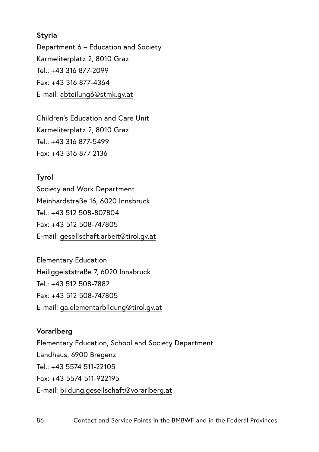#### **Styria**

Department 6 – Education and Society Karmeliterplatz 2, 8010 Graz Tel.: +43 316 877-2099 Fax: +43 316 877-4364 E-mail: [abteilung6@stmk.gv.at](mailto:abteilung6%40stmk.gv.at?subject=)

Children's Education and Care Unit Karmeliterplatz 2, 8010 Graz  $Tel: +43, 316, 877-5499$ Fax: +43 316 877-2136

#### **Tyrol**

Society and Work Department Meinhardstraße 16, 6020 Innsbruck Tel.: +43 512 508-807804 Fax: +43 512 508-747805 E-mail: [gesellschaft.arbeit@tirol.gv.at](mailto:gesellschaft.arbeit%40tirol.gv.at?subject=)

Elementary Education Heiliggeiststraße 7, 6020 Innsbruck  $Tel: +43$  512 508-7882 Fax: +43 512 508-747805 E-mail: [ga.elementarbildung@tirol.gv.at](mailto:ga.elementarbildung%40tirol.gv.at?subject=)

## **Vorarlberg**

Elementary Education, School and Society Department Landhaus, 6900 Bregenz  $Tel: +435574511-22105$ Fax: +43 5574 511-922195 E-mail: [bildung.gesellschaft@vorarlberg.at](mailto:bildung.gesellschaft%40vorarlberg.at?subject=)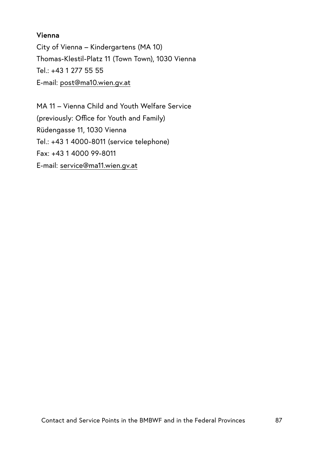#### **Vienna**

City of Vienna – Kindergartens (MA 10) Thomas-Klestil-Platz 11 (Town Town), 1030 Vienna Tel.: +43 1 277 55 55 E-mail: [post@ma10.wien.gv.at](mailto:post%40ma10.wien.gv.at?subject=)

MA 11 – Vienna Child and Youth Welfare Service (previously: Office for Youth and Family) Rüdengasse 11, 1030 Vienna Tel.: +43 1 4000-8011 (service telephone) Fax: +43 1 4000 99-8011 E-mail: [service@ma11.wien.gv.at](mailto:service%40ma11.wien.gv.at?subject=)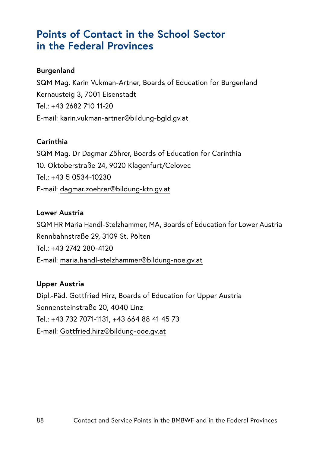## **Points of Contact in the School Sector in the Federal Provinces**

#### **Burgenland**

SQM Mag. Karin Vukman-Artner, Boards of Education for Burgenland Kernausteig 3, 7001 Eisenstadt  $Tel: +43, 2682, 710, 11-20$ E-mail: [karin.vukman-artner@bildung-bgld.gv.at](mailto:karin.vukman-artner%40bildung-bgld.gv.at?subject=)

#### **Carinthia**

SQM Mag. Dr Dagmar Zöhrer, Boards of Education for Carinthia 10. Oktoberstraße 24, 9020 Klagenfurt/Celovec Tel.: +43 5 0534-10230 E-mail: [dagmar.zoehrer@bildung-ktn.gv.at](mailto:dagmar.zoehrer%40bildung-ktn.gv.at?subject=)

#### **Lower Austria**

SQM HR Maria Handl-Stelzhammer, MA, Boards of Education for Lower Austria Rennbahnstraße 29, 3109 St. Pölten Tel.: +43 2742 280-4120 E-mail: [maria.handl-stelzhammer@bildung-noe.gv.at](mailto:maria.handl-stelzhammer%40bildung-noe.gv.at?subject=)

#### **Upper Austria**

Dipl.-Päd. Gottfried Hirz, Boards of Education for Upper Austria Sonnensteinstraße 20, 4040 Linz Tel.: +43 732 7071-1131, +43 664 88 41 45 73 E-mail: [Gottfried.hirz@bildung-ooe.gv.at](mailto:Gottfried.hirz%40bildung-ooe.gv.at?subject=)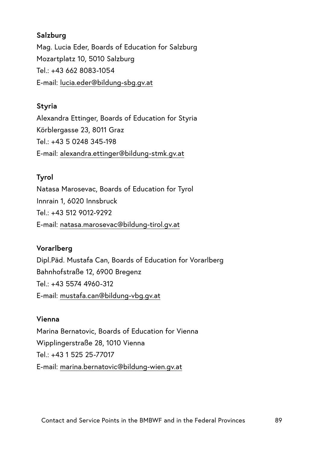### **Salzburg**

Mag. Lucia Eder, Boards of Education for Salzburg Mozartplatz 10, 5010 Salzburg Tel.: +43 662 8083-1054 E-mail: [lucia.eder@bildung-sbg.gv.at](mailto:lucia.eder%40bildung-sbg.gv.at?subject=)

#### **Styria**

Alexandra Ettinger, Boards of Education for Styria Körblergasse 23, 8011 Graz  $Tel: +4350248345-198$ E-mail: [alexandra.ettinger@bildung-stmk.gv.at](mailto:alexandra.ettinger%40bildung-stmk.gv.at?subject=)

#### **Tyrol**

Natasa Marosevac, Boards of Education for Tyrol Innrain 1, 6020 Innsbruck Tel.: +43 512 9012-9292 E-mail: [natasa.marosevac@bildung-tirol.gv.at](mailto:natasa.marosevac%40bildung-tirol.gv.at?subject=)

## **Vorarlberg**

Dipl.Päd. Mustafa Can, Boards of Education for Vorarlberg Bahnhofstraße 12, 6900 Bregenz  $Tel: +43$  5574 4960-312 E-mail: [mustafa.can@bildung-vbg.gv.at](mailto:mustafa.can%40bildung-vbg.gv.at?subject=)

#### **Vienna**

Marina Bernatovic, Boards of Education for Vienna Wipplingerstraße 28, 1010 Vienna Tel.: +43 1 525 25-77017 E-mail: [marina.bernatovic@bildung-wien.gv.at](mailto:marina.bernatovic%40bildung-wien.gv.at?subject=)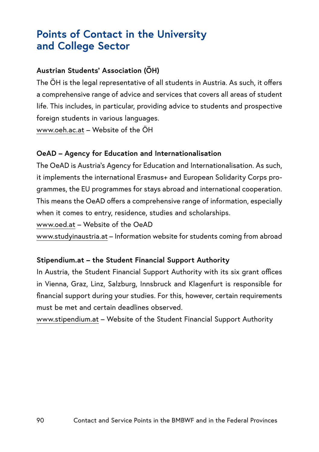# **Points of Contact in the University and College Sector**

## **Austrian Students' Association (ÖH)**

The ÖH is the legal representative of all students in Austria. As such, it offers a comprehensive range of advice and services that covers all areas of student life. This includes, in particular, providing advice to students and prospective foreign students in various languages.

[www.oeh.ac.at](http://www.oeh.ac.at) – Website of the ÖH

#### **OeAD – Agency for Education and Internationalisation**

The OeAD is Austria's Agency for Education and Internationalisation. As such, it implements the international Erasmus+ and European Solidarity Corps programmes, the EU programmes for stays abroad and international cooperation. This means the OeAD offers a comprehensive range of information, especially when it comes to entry, residence, studies and scholarships.

[www.oed.at](http://www.oed.at) – Website of the OeAD

[www.studyinaustria.at](http://www.studyinaustria.at) – Information website for students coming from abroad

#### **[Stipendium.at](http://Stipendium.at) – the Student Financial Support Authority**

In Austria, the Student Financial Support Authority with its six grant offices in Vienna, Graz, Linz, Salzburg, Innsbruck and Klagenfurt is responsible for financial support during your studies. For this, however, certain requirements must be met and certain deadlines observed.

[www.stipendium.at](http://www.stipendium.at) – Website of the Student Financial Support Authority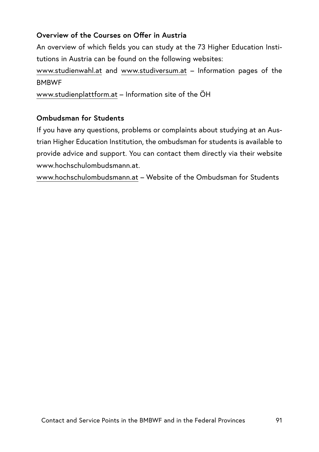## **Overview of the Courses on Offer in Austria**

An overview of which fields you can study at the 73 Higher Education Institutions in Austria can be found on the following websites:

[www.studienwahl.at](http://www.studienwahl.at) and [www.studiversum.at](http://www.studiversum.at) – Information pages of the **BMBWF** 

[www.studienplattform.at](http://www.studienplattform.at) – Information site of the ÖH

## **Ombudsman for Students**

If you have any questions, problems or complaints about studying at an Austrian Higher Education Institution, the ombudsman for students is available to provide advice and support. You can contact them directly via their website [www.hochschulombudsmann.at](http://www.hochschulombudsmann.at).

[www.hochschulombudsmann.at](http://www.hochschulombudsmann.at) – Website of the Ombudsman for Students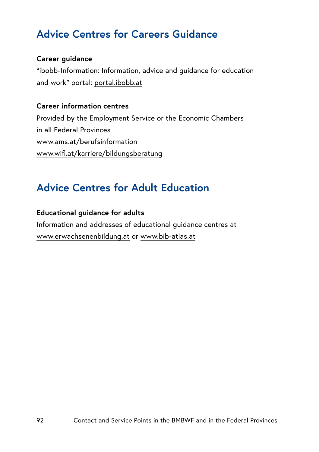# **Advice Centres for Careers Guidance**

#### **Career guidance**

"ibobb-Information: Information, advice and guidance for education and work" portal: [portal.ibobb.at](http://portal.ibobb.at)

#### **Career information centres**

Provided by the Employment Service or the Economic Chambers in all Federal Provinces [www.ams.at/berufsinformation](http://www.ams.at/berufsinformation) [www.wifi.at/karriere/bildungsberatung](http://www.wifi.at/karriere/bildungsberatung)

# **Advice Centres for Adult Education**

#### **Educational guidance for adults**

Information and addresses of educational guidance centres at [www.erwachsenenbildung.at](http://www.erwachsenenbildung.at) or [www.bib-atlas.at](http://www.bib-atlas.at)